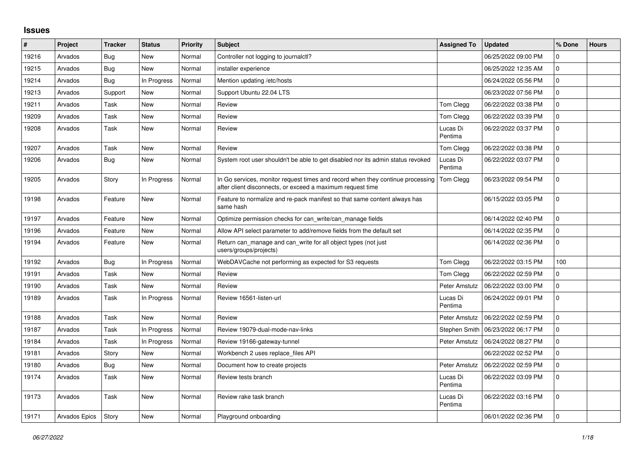## **Issues**

| $\vert$ # | Project       | <b>Tracker</b> | <b>Status</b> | Priority | <b>Subject</b>                                                                                                                               | <b>Assigned To</b>  | <b>Updated</b>      | % Done       | <b>Hours</b> |
|-----------|---------------|----------------|---------------|----------|----------------------------------------------------------------------------------------------------------------------------------------------|---------------------|---------------------|--------------|--------------|
| 19216     | Arvados       | Bug            | New           | Normal   | Controller not logging to journalctl?                                                                                                        |                     | 06/25/2022 09:00 PM | $\Omega$     |              |
| 19215     | Arvados       | Bug            | <b>New</b>    | Normal   | installer experience                                                                                                                         |                     | 06/25/2022 12:35 AM | 0            |              |
| 19214     | Arvados       | Bug            | In Progress   | Normal   | Mention updating /etc/hosts                                                                                                                  |                     | 06/24/2022 05:56 PM | 0            |              |
| 19213     | Arvados       | Support        | New           | Normal   | Support Ubuntu 22.04 LTS                                                                                                                     |                     | 06/23/2022 07:56 PM | 0            |              |
| 19211     | Arvados       | Task           | New           | Normal   | Review                                                                                                                                       | Tom Clegg           | 06/22/2022 03:38 PM | 0            |              |
| 19209     | Arvados       | Task           | <b>New</b>    | Normal   | Review                                                                                                                                       | Tom Clegg           | 06/22/2022 03:39 PM | $\mathbf{0}$ |              |
| 19208     | Arvados       | Task           | New           | Normal   | Review                                                                                                                                       | Lucas Di<br>Pentima | 06/22/2022 03:37 PM | 0            |              |
| 19207     | Arvados       | Task           | <b>New</b>    | Normal   | Review                                                                                                                                       | Tom Clegg           | 06/22/2022 03:38 PM | 0            |              |
| 19206     | Arvados       | Bug            | <b>New</b>    | Normal   | System root user shouldn't be able to get disabled nor its admin status revoked                                                              | Lucas Di<br>Pentima | 06/22/2022 03:07 PM | $\Omega$     |              |
| 19205     | Arvados       | Story          | In Progress   | Normal   | In Go services, monitor request times and record when they continue processing<br>after client disconnects, or exceed a maximum request time | Tom Clegg           | 06/23/2022 09:54 PM | $\Omega$     |              |
| 19198     | Arvados       | Feature        | New           | Normal   | Feature to normalize and re-pack manifest so that same content always has<br>same hash                                                       |                     | 06/15/2022 03:05 PM | $\Omega$     |              |
| 19197     | Arvados       | Feature        | New           | Normal   | Optimize permission checks for can write/can manage fields                                                                                   |                     | 06/14/2022 02:40 PM | $\mathbf 0$  |              |
| 19196     | Arvados       | Feature        | <b>New</b>    | Normal   | Allow API select parameter to add/remove fields from the default set                                                                         |                     | 06/14/2022 02:35 PM | $\Omega$     |              |
| 19194     | Arvados       | Feature        | New           | Normal   | Return can_manage and can_write for all object types (not just<br>users/groups/projects)                                                     |                     | 06/14/2022 02:36 PM | $\Omega$     |              |
| 19192     | Arvados       | Bug            | In Progress   | Normal   | WebDAVCache not performing as expected for S3 requests                                                                                       | Tom Clegg           | 06/22/2022 03:15 PM | 100          |              |
| 19191     | Arvados       | Task           | <b>New</b>    | Normal   | Review                                                                                                                                       | Tom Clegg           | 06/22/2022 02:59 PM | 0            |              |
| 19190     | Arvados       | Task           | <b>New</b>    | Normal   | Review                                                                                                                                       | Peter Amstutz       | 06/22/2022 03:00 PM | $\mathbf{0}$ |              |
| 19189     | Arvados       | Task           | In Progress   | Normal   | Review 16561-listen-url                                                                                                                      | Lucas Di<br>Pentima | 06/24/2022 09:01 PM | $\Omega$     |              |
| 19188     | Arvados       | Task           | <b>New</b>    | Normal   | Review                                                                                                                                       | Peter Amstutz       | 06/22/2022 02:59 PM | $\mathbf 0$  |              |
| 19187     | Arvados       | Task           | In Progress   | Normal   | Review 19079-dual-mode-nav-links                                                                                                             | Stephen Smith       | 06/23/2022 06:17 PM | $\Omega$     |              |
| 19184     | Arvados       | Task           | In Progress   | Normal   | Review 19166-gateway-tunnel                                                                                                                  | Peter Amstutz       | 06/24/2022 08:27 PM | 0            |              |
| 19181     | Arvados       | Story          | <b>New</b>    | Normal   | Workbench 2 uses replace_files API                                                                                                           |                     | 06/22/2022 02:52 PM | $\Omega$     |              |
| 19180     | Arvados       | Bug            | <b>New</b>    | Normal   | Document how to create projects                                                                                                              | Peter Amstutz       | 06/22/2022 02:59 PM | 0            |              |
| 19174     | Arvados       | Task           | New           | Normal   | Review tests branch                                                                                                                          | Lucas Di<br>Pentima | 06/22/2022 03:09 PM | O            |              |
| 19173     | Arvados       | Task           | <b>New</b>    | Normal   | Review rake task branch                                                                                                                      | Lucas Di<br>Pentima | 06/22/2022 03:16 PM | $\Omega$     |              |
| 19171     | Arvados Epics | Story          | <b>New</b>    | Normal   | Playground onboarding                                                                                                                        |                     | 06/01/2022 02:36 PM | $\Omega$     |              |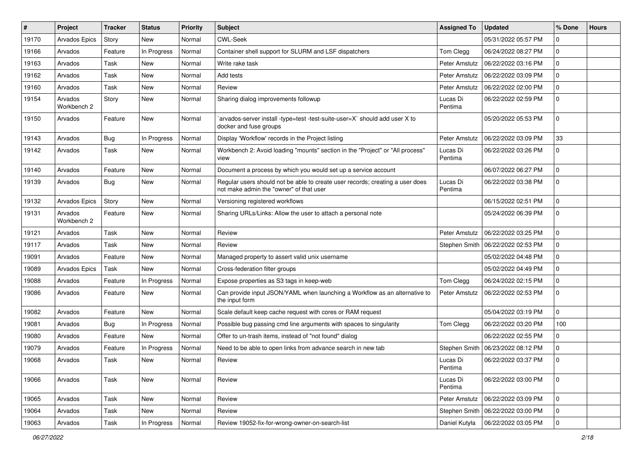| $\#$  | Project                | <b>Tracker</b> | <b>Status</b> | <b>Priority</b> | <b>Subject</b>                                                                                                           | <b>Assigned To</b>  | <b>Updated</b>      | % Done       | <b>Hours</b> |
|-------|------------------------|----------------|---------------|-----------------|--------------------------------------------------------------------------------------------------------------------------|---------------------|---------------------|--------------|--------------|
| 19170 | Arvados Epics          | Story          | <b>New</b>    | Normal          | <b>CWL-Seek</b>                                                                                                          |                     | 05/31/2022 05:57 PM | 0            |              |
| 19166 | Arvados                | Feature        | In Progress   | Normal          | Container shell support for SLURM and LSF dispatchers                                                                    | Tom Clegg           | 06/24/2022 08:27 PM | 0            |              |
| 19163 | Arvados                | Task           | New           | Normal          | Write rake task                                                                                                          | Peter Amstutz       | 06/22/2022 03:16 PM | 0            |              |
| 19162 | Arvados                | Task           | New           | Normal          | Add tests                                                                                                                | Peter Amstutz       | 06/22/2022 03:09 PM | 0            |              |
| 19160 | Arvados                | Task           | <b>New</b>    | Normal          | Review                                                                                                                   | Peter Amstutz       | 06/22/2022 02:00 PM | 0            |              |
| 19154 | Arvados<br>Workbench 2 | Story          | New           | Normal          | Sharing dialog improvements followup                                                                                     | Lucas Di<br>Pentima | 06/22/2022 02:59 PM | 0            |              |
| 19150 | Arvados                | Feature        | <b>New</b>    | Normal          | `arvados-server install -type=test -test-suite-user=X` should add user X to<br>docker and fuse groups                    |                     | 05/20/2022 05:53 PM | 0            |              |
| 19143 | Arvados                | Bug            | In Progress   | Normal          | Display 'Workflow' records in the Project listing                                                                        | Peter Amstutz       | 06/22/2022 03:09 PM | 33           |              |
| 19142 | Arvados                | Task           | New           | Normal          | Workbench 2: Avoid loading "mounts" section in the "Project" or "All process"<br>view                                    | Lucas Di<br>Pentima | 06/22/2022 03:26 PM | 0            |              |
| 19140 | Arvados                | Feature        | New           | Normal          | Document a process by which you would set up a service account                                                           |                     | 06/07/2022 06:27 PM | 0            |              |
| 19139 | Arvados                | Bug            | New           | Normal          | Regular users should not be able to create user records; creating a user does<br>not make admin the "owner" of that user | Lucas Di<br>Pentima | 06/22/2022 03:38 PM | 0            |              |
| 19132 | Arvados Epics          | Story          | <b>New</b>    | Normal          | Versioning registered workflows                                                                                          |                     | 06/15/2022 02:51 PM | 0            |              |
| 19131 | Arvados<br>Workbench 2 | Feature        | New           | Normal          | Sharing URLs/Links: Allow the user to attach a personal note                                                             |                     | 05/24/2022 06:39 PM | 0            |              |
| 19121 | Arvados                | Task           | <b>New</b>    | Normal          | Review                                                                                                                   | Peter Amstutz       | 06/22/2022 03:25 PM | $\mathbf{0}$ |              |
| 19117 | Arvados                | Task           | New           | Normal          | Review                                                                                                                   | Stephen Smith       | 06/22/2022 02:53 PM | 0            |              |
| 19091 | Arvados                | Feature        | <b>New</b>    | Normal          | Managed property to assert valid unix username                                                                           |                     | 05/02/2022 04:48 PM | 0            |              |
| 19089 | Arvados Epics          | Task           | <b>New</b>    | Normal          | Cross-federation filter groups                                                                                           |                     | 05/02/2022 04:49 PM | 0            |              |
| 19088 | Arvados                | Feature        | In Progress   | Normal          | Expose properties as S3 tags in keep-web                                                                                 | Tom Clegg           | 06/24/2022 02:15 PM | 0            |              |
| 19086 | Arvados                | Feature        | <b>New</b>    | Normal          | Can provide input JSON/YAML when launching a Workflow as an alternative to<br>the input form                             | Peter Amstutz       | 06/22/2022 02:53 PM | 0            |              |
| 19082 | Arvados                | Feature        | <b>New</b>    | Normal          | Scale default keep cache request with cores or RAM request                                                               |                     | 05/04/2022 03:19 PM | 0            |              |
| 19081 | Arvados                | Bug            | In Progress   | Normal          | Possible bug passing cmd line arguments with spaces to singularity                                                       | Tom Clegg           | 06/22/2022 03:20 PM | 100          |              |
| 19080 | Arvados                | Feature        | New           | Normal          | Offer to un-trash items, instead of "not found" dialog                                                                   |                     | 06/22/2022 02:55 PM | 0            |              |
| 19079 | Arvados                | Feature        | In Progress   | Normal          | Need to be able to open links from advance search in new tab                                                             | Stephen Smith       | 06/23/2022 08:12 PM | 0            |              |
| 19068 | Arvados                | Task           | New           | Normal          | Review                                                                                                                   | Lucas Di<br>Pentima | 06/22/2022 03:37 PM | $\Omega$     |              |
| 19066 | Arvados                | Task           | New           | Normal          | Review                                                                                                                   | Lucas Di<br>Pentima | 06/22/2022 03:00 PM | 0            |              |
| 19065 | Arvados                | Task           | New           | Normal          | Review                                                                                                                   | Peter Amstutz       | 06/22/2022 03:09 PM | $\mathbf 0$  |              |
| 19064 | Arvados                | Task           | New           | Normal          | Review                                                                                                                   | Stephen Smith       | 06/22/2022 03:00 PM | 0            |              |
| 19063 | Arvados                | Task           | In Progress   | Normal          | Review 19052-fix-for-wrong-owner-on-search-list                                                                          | Daniel Kutyła       | 06/22/2022 03:05 PM | 0            |              |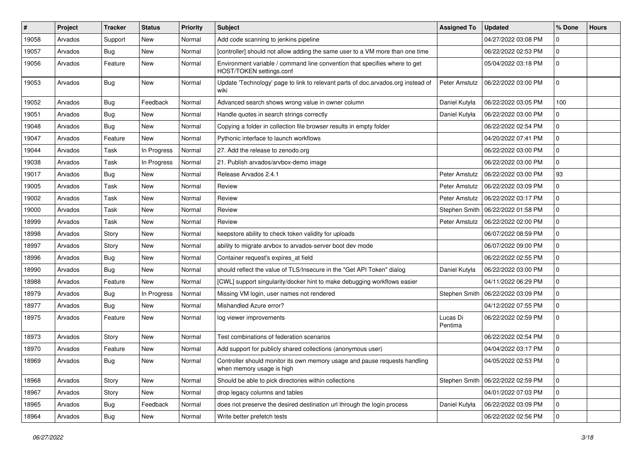| $\pmb{\#}$ | Project | <b>Tracker</b> | <b>Status</b> | <b>Priority</b> | <b>Subject</b>                                                                                          | <b>Assigned To</b>  | <b>Updated</b>                      | % Done      | <b>Hours</b> |
|------------|---------|----------------|---------------|-----------------|---------------------------------------------------------------------------------------------------------|---------------------|-------------------------------------|-------------|--------------|
| 19058      | Arvados | Support        | New           | Normal          | Add code scanning to jenkins pipeline                                                                   |                     | 04/27/2022 03:08 PM                 | 0           |              |
| 19057      | Arvados | Bug            | New           | Normal          | [controller] should not allow adding the same user to a VM more than one time                           |                     | 06/22/2022 02:53 PM                 | 0           |              |
| 19056      | Arvados | Feature        | New           | Normal          | Environment variable / command line convention that specifies where to get<br>HOST/TOKEN settings.conf  |                     | 05/04/2022 03:18 PM                 | 0           |              |
| 19053      | Arvados | <b>Bug</b>     | <b>New</b>    | Normal          | Update 'Technology' page to link to relevant parts of doc.arvados.org instead of<br>wiki                | Peter Amstutz       | 06/22/2022 03:00 PM                 | $\Omega$    |              |
| 19052      | Arvados | <b>Bug</b>     | Feedback      | Normal          | Advanced search shows wrong value in owner column                                                       | Daniel Kutyła       | 06/22/2022 03:05 PM                 | 100         |              |
| 19051      | Arvados | Bug            | New           | Normal          | Handle quotes in search strings correctly                                                               | Daniel Kutyła       | 06/22/2022 03:00 PM                 | 0           |              |
| 19048      | Arvados | Bug            | New           | Normal          | Copying a folder in collection file browser results in empty folder                                     |                     | 06/22/2022 02:54 PM                 | 0           |              |
| 19047      | Arvados | Feature        | <b>New</b>    | Normal          | Pythonic interface to launch workflows                                                                  |                     | 04/20/2022 07:41 PM                 | 0           |              |
| 19044      | Arvados | Task           | In Progress   | Normal          | 27. Add the release to zenodo.org                                                                       |                     | 06/22/2022 03:00 PM                 | 0           |              |
| 19038      | Arvados | Task           | In Progress   | Normal          | 21. Publish arvados/arvbox-demo image                                                                   |                     | 06/22/2022 03:00 PM                 | $\Omega$    |              |
| 19017      | Arvados | <b>Bug</b>     | New           | Normal          | Release Arvados 2.4.1                                                                                   | Peter Amstutz       | 06/22/2022 03:00 PM                 | 93          |              |
| 19005      | Arvados | Task           | <b>New</b>    | Normal          | Review                                                                                                  | Peter Amstutz       | 06/22/2022 03:09 PM                 | 0           |              |
| 19002      | Arvados | Task           | <b>New</b>    | Normal          | Review                                                                                                  | Peter Amstutz       | 06/22/2022 03:17 PM                 | 0           |              |
| 19000      | Arvados | Task           | New           | Normal          | Review                                                                                                  |                     | Stephen Smith   06/22/2022 01:58 PM | $\mathbf 0$ |              |
| 18999      | Arvados | Task           | New           | Normal          | Review                                                                                                  | Peter Amstutz       | 06/22/2022 02:00 PM                 | $\mathbf 0$ |              |
| 18998      | Arvados | Story          | <b>New</b>    | Normal          | keepstore ability to check token validity for uploads                                                   |                     | 06/07/2022 08:59 PM                 | $\mathbf 0$ |              |
| 18997      | Arvados | Story          | New           | Normal          | ability to migrate arvbox to arvados-server boot dev mode                                               |                     | 06/07/2022 09:00 PM                 | 0           |              |
| 18996      | Arvados | <b>Bug</b>     | <b>New</b>    | Normal          | Container request's expires_at field                                                                    |                     | 06/22/2022 02:55 PM                 | 0           |              |
| 18990      | Arvados | Bug            | New           | Normal          | should reflect the value of TLS/Insecure in the "Get API Token" dialog                                  | Daniel Kutyła       | 06/22/2022 03:00 PM                 | 0           |              |
| 18988      | Arvados | Feature        | New           | Normal          | [CWL] support singularity/docker hint to make debugging workflows easier                                |                     | 04/11/2022 06:29 PM                 | 0           |              |
| 18979      | Arvados | Bug            | In Progress   | Normal          | Missing VM login, user names not rendered                                                               | Stephen Smith       | 06/22/2022 03:09 PM                 | $\Omega$    |              |
| 18977      | Arvados | <b>Bug</b>     | <b>New</b>    | Normal          | Mishandled Azure error?                                                                                 |                     | 04/12/2022 07:55 PM                 | 0           |              |
| 18975      | Arvados | Feature        | New           | Normal          | log viewer improvements                                                                                 | Lucas Di<br>Pentima | 06/22/2022 02:59 PM                 | $\Omega$    |              |
| 18973      | Arvados | Story          | <b>New</b>    | Normal          | Test combinations of federation scenarios                                                               |                     | 06/22/2022 02:54 PM                 | $\Omega$    |              |
| 18970      | Arvados | Feature        | <b>New</b>    | Normal          | Add support for publicly shared collections (anonymous user)                                            |                     | 04/04/2022 03:17 PM                 | 0           |              |
| 18969      | Arvados | Bug            | New           | Normal          | Controller should monitor its own memory usage and pause requests handling<br>when memory usage is high |                     | 04/05/2022 02:53 PM                 | $\Omega$    |              |
| 18968      | Arvados | Story          | New           | Normal          | Should be able to pick directories within collections                                                   |                     | Stephen Smith   06/22/2022 02:59 PM | $\mathbf 0$ |              |
| 18967      | Arvados | Story          | New           | Normal          | drop legacy columns and tables                                                                          |                     | 04/01/2022 07:03 PM                 | $\mathbf 0$ |              |
| 18965      | Arvados | <b>Bug</b>     | Feedback      | Normal          | does not preserve the desired destination url through the login process                                 | Daniel Kutyła       | 06/22/2022 03:09 PM                 | 0           |              |
| 18964      | Arvados | <b>Bug</b>     | New           | Normal          | Write better prefetch tests                                                                             |                     | 06/22/2022 02:56 PM                 | 0           |              |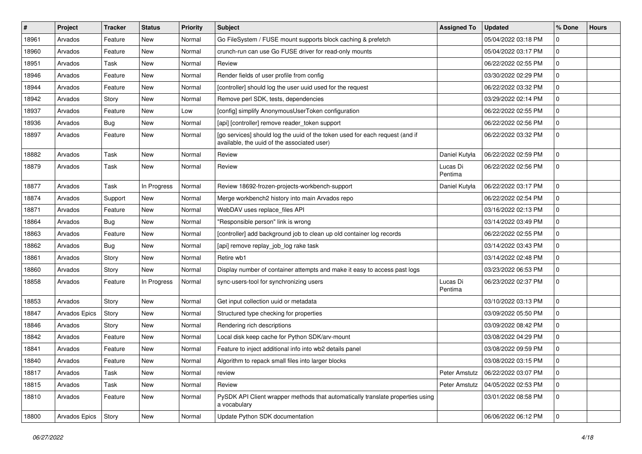| #     | Project              | <b>Tracker</b> | <b>Status</b> | <b>Priority</b> | Subject                                                                                                                     | <b>Assigned To</b>  | <b>Updated</b>      | % Done       | <b>Hours</b> |
|-------|----------------------|----------------|---------------|-----------------|-----------------------------------------------------------------------------------------------------------------------------|---------------------|---------------------|--------------|--------------|
| 18961 | Arvados              | Feature        | New           | Normal          | Go FileSystem / FUSE mount supports block caching & prefetch                                                                |                     | 05/04/2022 03:18 PM | 0            |              |
| 18960 | Arvados              | Feature        | <b>New</b>    | Normal          | crunch-run can use Go FUSE driver for read-only mounts                                                                      |                     | 05/04/2022 03:17 PM | 0            |              |
| 18951 | Arvados              | Task           | New           | Normal          | Review                                                                                                                      |                     | 06/22/2022 02:55 PM | 0            |              |
| 18946 | Arvados              | Feature        | New           | Normal          | Render fields of user profile from config                                                                                   |                     | 03/30/2022 02:29 PM | 0            |              |
| 18944 | Arvados              | Feature        | New           | Normal          | [controller] should log the user uuid used for the request                                                                  |                     | 06/22/2022 03:32 PM | 0            |              |
| 18942 | Arvados              | Story          | New           | Normal          | Remove perl SDK, tests, dependencies                                                                                        |                     | 03/29/2022 02:14 PM | 0            |              |
| 18937 | Arvados              | Feature        | New           | Low             | [config] simplify AnonymousUserToken configuration                                                                          |                     | 06/22/2022 02:55 PM | 0            |              |
| 18936 | Arvados              | <b>Bug</b>     | New           | Normal          | [api] [controller] remove reader_token support                                                                              |                     | 06/22/2022 02:56 PM | 0            |              |
| 18897 | Arvados              | Feature        | New           | Normal          | [go services] should log the uuid of the token used for each request (and if<br>available, the uuid of the associated user) |                     | 06/22/2022 03:32 PM | 0            |              |
| 18882 | Arvados              | Task           | New           | Normal          | Review                                                                                                                      | Daniel Kutyła       | 06/22/2022 02:59 PM | 0            |              |
| 18879 | Arvados              | Task           | New           | Normal          | Review                                                                                                                      | Lucas Di<br>Pentima | 06/22/2022 02:56 PM | 0            |              |
| 18877 | Arvados              | Task           | In Progress   | Normal          | Review 18692-frozen-projects-workbench-support                                                                              | Daniel Kutyła       | 06/22/2022 03:17 PM | $\mathbf{0}$ |              |
| 18874 | Arvados              | Support        | New           | Normal          | Merge workbench2 history into main Arvados repo                                                                             |                     | 06/22/2022 02:54 PM | 0            |              |
| 18871 | Arvados              | Feature        | New           | Normal          | WebDAV uses replace_files API                                                                                               |                     | 03/16/2022 02:13 PM | 0            |              |
| 18864 | Arvados              | <b>Bug</b>     | New           | Normal          | "Responsible person" link is wrong                                                                                          |                     | 03/14/2022 03:49 PM | 0            |              |
| 18863 | Arvados              | Feature        | <b>New</b>    | Normal          | [controller] add background job to clean up old container log records                                                       |                     | 06/22/2022 02:55 PM | 0            |              |
| 18862 | Arvados              | Bug            | New           | Normal          | [api] remove replay_job_log rake task                                                                                       |                     | 03/14/2022 03:43 PM | 0            |              |
| 18861 | Arvados              | Story          | New           | Normal          | Retire wb1                                                                                                                  |                     | 03/14/2022 02:48 PM | 0            |              |
| 18860 | Arvados              | Story          | <b>New</b>    | Normal          | Display number of container attempts and make it easy to access past logs                                                   |                     | 03/23/2022 06:53 PM | 0            |              |
| 18858 | Arvados              | Feature        | In Progress   | Normal          | sync-users-tool for synchronizing users                                                                                     | Lucas Di<br>Pentima | 06/23/2022 02:37 PM | $\Omega$     |              |
| 18853 | Arvados              | Story          | New           | Normal          | Get input collection uuid or metadata                                                                                       |                     | 03/10/2022 03:13 PM | 0            |              |
| 18847 | <b>Arvados Epics</b> | Story          | New           | Normal          | Structured type checking for properties                                                                                     |                     | 03/09/2022 05:50 PM | 0            |              |
| 18846 | Arvados              | Story          | <b>New</b>    | Normal          | Rendering rich descriptions                                                                                                 |                     | 03/09/2022 08:42 PM | 0            |              |
| 18842 | Arvados              | Feature        | New           | Normal          | Local disk keep cache for Python SDK/arv-mount                                                                              |                     | 03/08/2022 04:29 PM | 0            |              |
| 18841 | Arvados              | Feature        | New           | Normal          | Feature to inject additional info into wb2 details panel                                                                    |                     | 03/08/2022 09:59 PM | 0            |              |
| 18840 | Arvados              | Feature        | New           | Normal          | Algorithm to repack small files into larger blocks                                                                          |                     | 03/08/2022 03:15 PM | 0            |              |
| 18817 | Arvados              | Task           | New           | Normal          | review                                                                                                                      | Peter Amstutz       | 06/22/2022 03:07 PM | $\mathbf 0$  |              |
| 18815 | Arvados              | Task           | New           | Normal          | Review                                                                                                                      | Peter Amstutz       | 04/05/2022 02:53 PM | 0            |              |
| 18810 | Arvados              | Feature        | New           | Normal          | PySDK API Client wrapper methods that automatically translate properties using<br>a vocabulary                              |                     | 03/01/2022 08:58 PM | $\mathbf{0}$ |              |
| 18800 | Arvados Epics        | Story          | New           | Normal          | Update Python SDK documentation                                                                                             |                     | 06/06/2022 06:12 PM | 0            |              |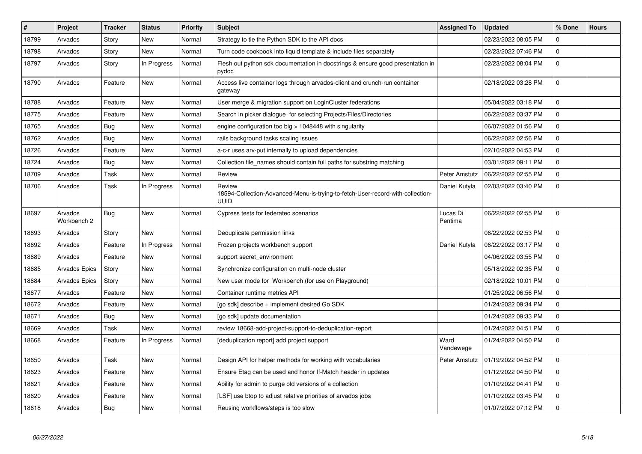| $\vert$ # | Project                | <b>Tracker</b> | <b>Status</b> | <b>Priority</b> | <b>Subject</b>                                                                                   | <b>Assigned To</b>  | <b>Updated</b>      | % Done       | <b>Hours</b> |
|-----------|------------------------|----------------|---------------|-----------------|--------------------------------------------------------------------------------------------------|---------------------|---------------------|--------------|--------------|
| 18799     | Arvados                | Story          | New           | Normal          | Strategy to tie the Python SDK to the API docs                                                   |                     | 02/23/2022 08:05 PM | $\Omega$     |              |
| 18798     | Arvados                | Story          | New           | Normal          | Turn code cookbook into liquid template & include files separately                               |                     | 02/23/2022 07:46 PM | 0            |              |
| 18797     | Arvados                | Story          | In Progress   | Normal          | Flesh out python sdk documentation in docstrings & ensure good presentation in<br>pydoc          |                     | 02/23/2022 08:04 PM | 0            |              |
| 18790     | Arvados                | Feature        | New           | Normal          | Access live container logs through arvados-client and crunch-run container<br>gateway            |                     | 02/18/2022 03:28 PM | $\mathbf 0$  |              |
| 18788     | Arvados                | Feature        | New           | Normal          | User merge & migration support on LoginCluster federations                                       |                     | 05/04/2022 03:18 PM | 0            |              |
| 18775     | Arvados                | Feature        | New           | Normal          | Search in picker dialogue for selecting Projects/Files/Directories                               |                     | 06/22/2022 03:37 PM | $\mathbf 0$  |              |
| 18765     | Arvados                | Bug            | New           | Normal          | engine configuration too big > 1048448 with singularity                                          |                     | 06/07/2022 01:56 PM | 0            |              |
| 18762     | Arvados                | Bug            | New           | Normal          | rails background tasks scaling issues                                                            |                     | 06/22/2022 02:56 PM | 0            |              |
| 18726     | Arvados                | Feature        | New           | Normal          | a-c-r uses arv-put internally to upload dependencies                                             |                     | 02/10/2022 04:53 PM | 0            |              |
| 18724     | Arvados                | Bug            | New           | Normal          | Collection file_names should contain full paths for substring matching                           |                     | 03/01/2022 09:11 PM | $\Omega$     |              |
| 18709     | Arvados                | Task           | New           | Normal          | Review                                                                                           | Peter Amstutz       | 06/22/2022 02:55 PM | 0            |              |
| 18706     | Arvados                | Task           | In Progress   | Normal          | Review<br>18594-Collection-Advanced-Menu-is-trying-to-fetch-User-record-with-collection-<br>uuid | Daniel Kutyła       | 02/03/2022 03:40 PM | $\Omega$     |              |
| 18697     | Arvados<br>Workbench 2 | Bug            | New           | Normal          | Cypress tests for federated scenarios                                                            | Lucas Di<br>Pentima | 06/22/2022 02:55 PM | $\mathbf 0$  |              |
| 18693     | Arvados                | Story          | New           | Normal          | Deduplicate permission links                                                                     |                     | 06/22/2022 02:53 PM | $\mathbf 0$  |              |
| 18692     | Arvados                | Feature        | In Progress   | Normal          | Frozen projects workbench support                                                                | Daniel Kutyła       | 06/22/2022 03:17 PM | 0            |              |
| 18689     | Arvados                | Feature        | New           | Normal          | support secret environment                                                                       |                     | 04/06/2022 03:55 PM | 0            |              |
| 18685     | Arvados Epics          | Story          | New           | Normal          | Synchronize configuration on multi-node cluster                                                  |                     | 05/18/2022 02:35 PM | $\Omega$     |              |
| 18684     | <b>Arvados Epics</b>   | Story          | New           | Normal          | New user mode for Workbench (for use on Playground)                                              |                     | 02/18/2022 10:01 PM | 0            |              |
| 18677     | Arvados                | Feature        | New           | Normal          | Container runtime metrics API                                                                    |                     | 01/25/2022 06:56 PM | $\mathbf{0}$ |              |
| 18672     | Arvados                | Feature        | New           | Normal          | [go sdk] describe + implement desired Go SDK                                                     |                     | 01/24/2022 09:34 PM | $\mathbf{0}$ |              |
| 18671     | Arvados                | Bug            | New           | Normal          | [go sdk] update documentation                                                                    |                     | 01/24/2022 09:33 PM | $\Omega$     |              |
| 18669     | Arvados                | Task           | New           | Normal          | review 18668-add-project-support-to-deduplication-report                                         |                     | 01/24/2022 04:51 PM | 0            |              |
| 18668     | Arvados                | Feature        | In Progress   | Normal          | [deduplication report] add project support                                                       | Ward<br>Vandewege   | 01/24/2022 04:50 PM | $\Omega$     |              |
| 18650     | Arvados                | Task           | <b>New</b>    | Normal          | Design API for helper methods for working with vocabularies                                      | Peter Amstutz       | 01/19/2022 04:52 PM | $\mathbf 0$  |              |
| 18623     | Arvados                | Feature        | New           | Normal          | Ensure Etag can be used and honor If-Match header in updates                                     |                     | 01/12/2022 04:50 PM | $\mathbf{0}$ |              |
| 18621     | Arvados                | Feature        | New           | Normal          | Ability for admin to purge old versions of a collection                                          |                     | 01/10/2022 04:41 PM | 0            |              |
| 18620     | Arvados                | Feature        | New           | Normal          | [LSF] use btop to adjust relative priorities of arvados jobs                                     |                     | 01/10/2022 03:45 PM | 0            |              |
| 18618     | Arvados                | Bug            | New           | Normal          | Reusing workflows/steps is too slow                                                              |                     | 01/07/2022 07:12 PM | $\Omega$     |              |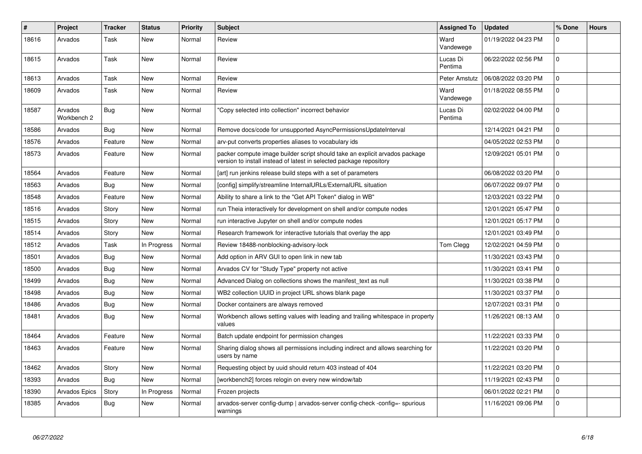| #     | <b>Project</b>         | <b>Tracker</b> | <b>Status</b> | <b>Priority</b> | <b>Subject</b>                                                                                                                                     | <b>Assigned To</b>  | <b>Updated</b>      | % Done       | <b>Hours</b> |
|-------|------------------------|----------------|---------------|-----------------|----------------------------------------------------------------------------------------------------------------------------------------------------|---------------------|---------------------|--------------|--------------|
| 18616 | Arvados                | Task           | <b>New</b>    | Normal          | Review                                                                                                                                             | Ward<br>Vandewege   | 01/19/2022 04:23 PM | O.           |              |
| 18615 | Arvados                | Task           | <b>New</b>    | Normal          | Review                                                                                                                                             | Lucas Di<br>Pentima | 06/22/2022 02:56 PM | 0            |              |
| 18613 | Arvados                | Task           | <b>New</b>    | Normal          | Review                                                                                                                                             | Peter Amstutz       | 06/08/2022 03:20 PM | 0            |              |
| 18609 | Arvados                | Task           | New           | Normal          | Review                                                                                                                                             | Ward<br>Vandewege   | 01/18/2022 08:55 PM | $\Omega$     |              |
| 18587 | Arvados<br>Workbench 2 | Bug            | New           | Normal          | "Copy selected into collection" incorrect behavior                                                                                                 | Lucas Di<br>Pentima | 02/02/2022 04:00 PM | 0            |              |
| 18586 | Arvados                | <b>Bug</b>     | <b>New</b>    | Normal          | Remove docs/code for unsupported AsyncPermissionsUpdateInterval                                                                                    |                     | 12/14/2021 04:21 PM | 0            |              |
| 18576 | Arvados                | Feature        | New           | Normal          | arv-put converts properties aliases to vocabulary ids                                                                                              |                     | 04/05/2022 02:53 PM | $\mathbf{0}$ |              |
| 18573 | Arvados                | Feature        | New           | Normal          | packer compute image builder script should take an explicit arvados package<br>version to install instead of latest in selected package repository |                     | 12/09/2021 05:01 PM | 0            |              |
| 18564 | Arvados                | Feature        | <b>New</b>    | Normal          | [art] run jenkins release build steps with a set of parameters                                                                                     |                     | 06/08/2022 03:20 PM | $\mathbf{0}$ |              |
| 18563 | Arvados                | Bug            | <b>New</b>    | Normal          | [config] simplify/streamline InternalURLs/ExternalURL situation                                                                                    |                     | 06/07/2022 09:07 PM | 0            |              |
| 18548 | Arvados                | Feature        | New           | Normal          | Ability to share a link to the "Get API Token" dialog in WB"                                                                                       |                     | 12/03/2021 03:22 PM | 0            |              |
| 18516 | Arvados                | Story          | New           | Normal          | run Theia interactively for development on shell and/or compute nodes                                                                              |                     | 12/01/2021 05:47 PM | 0            |              |
| 18515 | Arvados                | Story          | <b>New</b>    | Normal          | run interactive Jupyter on shell and/or compute nodes                                                                                              |                     | 12/01/2021 05:17 PM | 0            |              |
| 18514 | Arvados                | Story          | <b>New</b>    | Normal          | Research framework for interactive tutorials that overlay the app                                                                                  |                     | 12/01/2021 03:49 PM | 0            |              |
| 18512 | Arvados                | Task           | In Progress   | Normal          | Review 18488-nonblocking-advisory-lock                                                                                                             | Tom Clegg           | 12/02/2021 04:59 PM | 0            |              |
| 18501 | Arvados                | Bug            | New           | Normal          | Add option in ARV GUI to open link in new tab                                                                                                      |                     | 11/30/2021 03:43 PM | 0            |              |
| 18500 | Arvados                | <b>Bug</b>     | <b>New</b>    | Normal          | Arvados CV for "Study Type" property not active                                                                                                    |                     | 11/30/2021 03:41 PM | 0            |              |
| 18499 | Arvados                | <b>Bug</b>     | <b>New</b>    | Normal          | Advanced Dialog on collections shows the manifest_text as null                                                                                     |                     | 11/30/2021 03:38 PM | 0            |              |
| 18498 | Arvados                | Bug            | New           | Normal          | WB2 collection UUID in project URL shows blank page                                                                                                |                     | 11/30/2021 03:37 PM | 0            |              |
| 18486 | Arvados                | Bug            | <b>New</b>    | Normal          | Docker containers are always removed                                                                                                               |                     | 12/07/2021 03:31 PM | 0            |              |
| 18481 | Arvados                | Bug            | <b>New</b>    | Normal          | Workbench allows setting values with leading and trailing whitespace in property<br>values                                                         |                     | 11/26/2021 08:13 AM | $\Omega$     |              |
| 18464 | Arvados                | Feature        | New           | Normal          | Batch update endpoint for permission changes                                                                                                       |                     | 11/22/2021 03:33 PM | 0            |              |
| 18463 | Arvados                | Feature        | New           | Normal          | Sharing dialog shows all permissions including indirect and allows searching for<br>users by name                                                  |                     | 11/22/2021 03:20 PM | 0            |              |
| 18462 | Arvados                | Story          | <b>New</b>    | Normal          | Requesting object by uuid should return 403 instead of 404                                                                                         |                     | 11/22/2021 03:20 PM | $\Omega$     |              |
| 18393 | Arvados                | Bug            | <b>New</b>    | Normal          | [workbench2] forces relogin on every new window/tab                                                                                                |                     | 11/19/2021 02:43 PM | 0            |              |
| 18390 | Arvados Epics          | Story          | In Progress   | Normal          | Frozen projects                                                                                                                                    |                     | 06/01/2022 02:21 PM | 0            |              |
| 18385 | Arvados                | <b>Bug</b>     | <b>New</b>    | Normal          | arvados-server config-dump   arvados-server config-check -config=- spurious<br>warnings                                                            |                     | 11/16/2021 09:06 PM | 0            |              |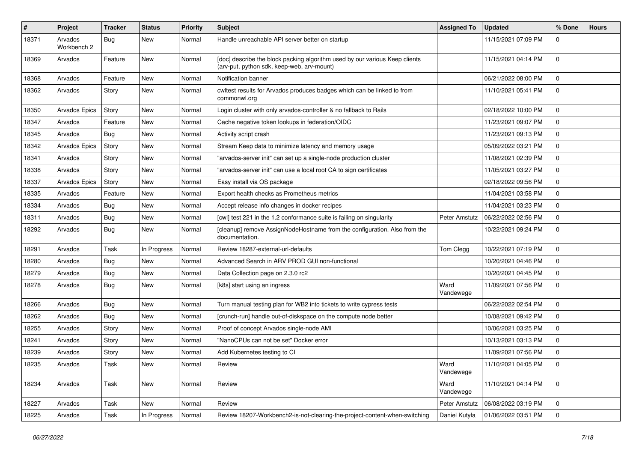| $\pmb{\#}$ | Project                | <b>Tracker</b> | <b>Status</b> | <b>Priority</b> | <b>Subject</b>                                                                                                            | <b>Assigned To</b> | <b>Updated</b>      | % Done      | <b>Hours</b> |
|------------|------------------------|----------------|---------------|-----------------|---------------------------------------------------------------------------------------------------------------------------|--------------------|---------------------|-------------|--------------|
| 18371      | Arvados<br>Workbench 2 | Bug            | New           | Normal          | Handle unreachable API server better on startup                                                                           |                    | 11/15/2021 07:09 PM | 0           |              |
| 18369      | Arvados                | Feature        | <b>New</b>    | Normal          | [doc] describe the block packing algorithm used by our various Keep clients<br>(arv-put, python sdk, keep-web, arv-mount) |                    | 11/15/2021 04:14 PM | 0           |              |
| 18368      | Arvados                | Feature        | <b>New</b>    | Normal          | Notification banner                                                                                                       |                    | 06/21/2022 08:00 PM | 0           |              |
| 18362      | Arvados                | Story          | New           | Normal          | cwltest results for Arvados produces badges which can be linked to from<br>commonwl.org                                   |                    | 11/10/2021 05:41 PM | 0           |              |
| 18350      | Arvados Epics          | Story          | New           | Normal          | Login cluster with only arvados-controller & no fallback to Rails                                                         |                    | 02/18/2022 10:00 PM | 0           |              |
| 18347      | Arvados                | Feature        | New           | Normal          | Cache negative token lookups in federation/OIDC                                                                           |                    | 11/23/2021 09:07 PM | 0           |              |
| 18345      | Arvados                | Bug            | <b>New</b>    | Normal          | Activity script crash                                                                                                     |                    | 11/23/2021 09:13 PM | 0           |              |
| 18342      | <b>Arvados Epics</b>   | Story          | New           | Normal          | Stream Keep data to minimize latency and memory usage                                                                     |                    | 05/09/2022 03:21 PM | 0           |              |
| 18341      | Arvados                | Story          | New           | Normal          | "arvados-server init" can set up a single-node production cluster                                                         |                    | 11/08/2021 02:39 PM | $\Omega$    |              |
| 18338      | Arvados                | Story          | New           | Normal          | "arvados-server init" can use a local root CA to sign certificates                                                        |                    | 11/05/2021 03:27 PM | 0           |              |
| 18337      | Arvados Epics          | Story          | New           | Normal          | Easy install via OS package                                                                                               |                    | 02/18/2022 09:56 PM | 0           |              |
| 18335      | Arvados                | Feature        | <b>New</b>    | Normal          | Export health checks as Prometheus metrics                                                                                |                    | 11/04/2021 03:58 PM | 0           |              |
| 18334      | Arvados                | Bug            | New           | Normal          | Accept release info changes in docker recipes                                                                             |                    | 11/04/2021 03:23 PM | $\mathbf 0$ |              |
| 18311      | Arvados                | Bug            | New           | Normal          | [cwl] test 221 in the 1.2 conformance suite is failing on singularity                                                     | Peter Amstutz      | 06/22/2022 02:56 PM | 0           |              |
| 18292      | Arvados                | <b>Bug</b>     | <b>New</b>    | Normal          | [cleanup] remove AssignNodeHostname from the configuration. Also from the<br>documentation.                               |                    | 10/22/2021 09:24 PM | $\Omega$    |              |
| 18291      | Arvados                | Task           | In Progress   | Normal          | Review 18287-external-url-defaults                                                                                        | Tom Clegg          | 10/22/2021 07:19 PM | $\mathbf 0$ |              |
| 18280      | Arvados                | <b>Bug</b>     | New           | Normal          | Advanced Search in ARV PROD GUI non-functional                                                                            |                    | 10/20/2021 04:46 PM | 0           |              |
| 18279      | Arvados                | Bug            | New           | Normal          | Data Collection page on 2.3.0 rc2                                                                                         |                    | 10/20/2021 04:45 PM | 0           |              |
| 18278      | Arvados                | Bug            | <b>New</b>    | Normal          | [k8s] start using an ingress                                                                                              | Ward<br>Vandewege  | 11/09/2021 07:56 PM | 0           |              |
| 18266      | Arvados                | Bug            | <b>New</b>    | Normal          | Turn manual testing plan for WB2 into tickets to write cypress tests                                                      |                    | 06/22/2022 02:54 PM | $\mathbf 0$ |              |
| 18262      | Arvados                | <b>Bug</b>     | <b>New</b>    | Normal          | [crunch-run] handle out-of-diskspace on the compute node better                                                           |                    | 10/08/2021 09:42 PM | 0           |              |
| 18255      | Arvados                | Story          | New           | Normal          | Proof of concept Arvados single-node AMI                                                                                  |                    | 10/06/2021 03:25 PM | 0           |              |
| 18241      | Arvados                | Story          | <b>New</b>    | Normal          | "NanoCPUs can not be set" Docker error                                                                                    |                    | 10/13/2021 03:13 PM | 0           |              |
| 18239      | Arvados                | Story          | New           | Normal          | Add Kubernetes testing to CI                                                                                              |                    | 11/09/2021 07:56 PM | 0           |              |
| 18235      | Arvados                | Task           | New           | Normal          | Review                                                                                                                    | Ward<br>Vandewege  | 11/10/2021 04:05 PM |             |              |
| 18234      | Arvados                | Task           | New           | Normal          | Review                                                                                                                    | Ward<br>Vandewege  | 11/10/2021 04:14 PM | $\mathbf 0$ |              |
| 18227      | Arvados                | Task           | New           | Normal          | Review                                                                                                                    | Peter Amstutz      | 06/08/2022 03:19 PM | $\mathbf 0$ |              |
| 18225      | Arvados                | Task           | In Progress   | Normal          | Review 18207-Workbench2-is-not-clearing-the-project-content-when-switching                                                | Daniel Kutyła      | 01/06/2022 03:51 PM | 0           |              |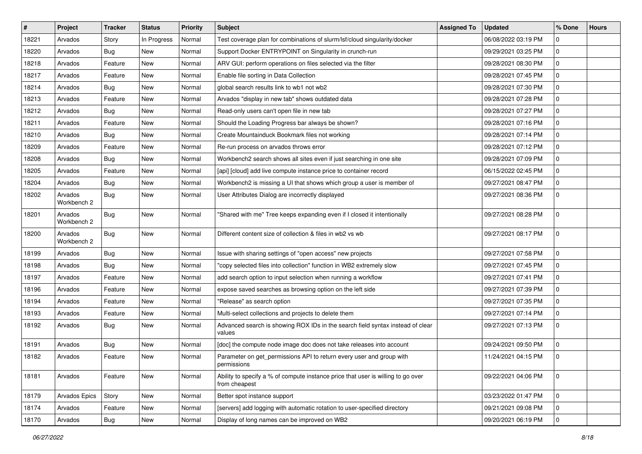| $\vert$ # | Project                | <b>Tracker</b> | <b>Status</b> | <b>Priority</b> | <b>Subject</b>                                                                                    | <b>Assigned To</b> | <b>Updated</b>      | % Done      | <b>Hours</b> |
|-----------|------------------------|----------------|---------------|-----------------|---------------------------------------------------------------------------------------------------|--------------------|---------------------|-------------|--------------|
| 18221     | Arvados                | Story          | In Progress   | Normal          | Test coverage plan for combinations of slurm/lsf/cloud singularity/docker                         |                    | 06/08/2022 03:19 PM | 0           |              |
| 18220     | Arvados                | Bug            | <b>New</b>    | Normal          | Support Docker ENTRYPOINT on Singularity in crunch-run                                            |                    | 09/29/2021 03:25 PM | 0           |              |
| 18218     | Arvados                | Feature        | New           | Normal          | ARV GUI: perform operations on files selected via the filter                                      |                    | 09/28/2021 08:30 PM | $\mathbf 0$ |              |
| 18217     | Arvados                | Feature        | New           | Normal          | Enable file sorting in Data Collection                                                            |                    | 09/28/2021 07:45 PM | 0           |              |
| 18214     | Arvados                | Bug            | <b>New</b>    | Normal          | global search results link to wb1 not wb2                                                         |                    | 09/28/2021 07:30 PM | $\mathbf 0$ |              |
| 18213     | Arvados                | Feature        | <b>New</b>    | Normal          | Arvados "display in new tab" shows outdated data                                                  |                    | 09/28/2021 07:28 PM | 0           |              |
| 18212     | Arvados                | <b>Bug</b>     | <b>New</b>    | Normal          | Read-only users can't open file in new tab                                                        |                    | 09/28/2021 07:27 PM | $\mathbf 0$ |              |
| 18211     | Arvados                | Feature        | New           | Normal          | Should the Loading Progress bar always be shown?                                                  |                    | 09/28/2021 07:16 PM | $\mathbf 0$ |              |
| 18210     | Arvados                | <b>Bug</b>     | New           | Normal          | Create Mountainduck Bookmark files not working                                                    |                    | 09/28/2021 07:14 PM | 0           |              |
| 18209     | Arvados                | Feature        | <b>New</b>    | Normal          | Re-run process on arvados throws error                                                            |                    | 09/28/2021 07:12 PM | $\mathbf 0$ |              |
| 18208     | Arvados                | <b>Bug</b>     | New           | Normal          | Workbench2 search shows all sites even if just searching in one site                              |                    | 09/28/2021 07:09 PM | $\mathbf 0$ |              |
| 18205     | Arvados                | Feature        | New           | Normal          | [api] [cloud] add live compute instance price to container record                                 |                    | 06/15/2022 02:45 PM | 0           |              |
| 18204     | Arvados                | Bug            | <b>New</b>    | Normal          | Workbench2 is missing a UI that shows which group a user is member of                             |                    | 09/27/2021 08:47 PM | $\mathbf 0$ |              |
| 18202     | Arvados<br>Workbench 2 | <b>Bug</b>     | New           | Normal          | User Attributes Dialog are incorrectly displayed                                                  |                    | 09/27/2021 08:36 PM | $\Omega$    |              |
| 18201     | Arvados<br>Workbench 2 | Bug            | <b>New</b>    | Normal          | "Shared with me" Tree keeps expanding even if I closed it intentionally                           |                    | 09/27/2021 08:28 PM | 0           |              |
| 18200     | Arvados<br>Workbench 2 | Bug            | New           | Normal          | Different content size of collection & files in wb2 vs wb                                         |                    | 09/27/2021 08:17 PM | $\mathbf 0$ |              |
| 18199     | Arvados                | Bug            | <b>New</b>    | Normal          | Issue with sharing settings of "open access" new projects                                         |                    | 09/27/2021 07:58 PM | $\mathbf 0$ |              |
| 18198     | Arvados                | <b>Bug</b>     | <b>New</b>    | Normal          | "copy selected files into collection" function in WB2 extremely slow                              |                    | 09/27/2021 07:45 PM | $\mathbf 0$ |              |
| 18197     | Arvados                | Feature        | <b>New</b>    | Normal          | add search option to input selection when running a workflow                                      |                    | 09/27/2021 07:41 PM | 0           |              |
| 18196     | Arvados                | Feature        | <b>New</b>    | Normal          | expose saved searches as browsing option on the left side                                         |                    | 09/27/2021 07:39 PM | 0           |              |
| 18194     | Arvados                | Feature        | New           | Normal          | "Release" as search option                                                                        |                    | 09/27/2021 07:35 PM | 0           |              |
| 18193     | Arvados                | Feature        | New           | Normal          | Multi-select collections and projects to delete them                                              |                    | 09/27/2021 07:14 PM | 0           |              |
| 18192     | Arvados                | Bug            | <b>New</b>    | Normal          | Advanced search is showing ROX IDs in the search field syntax instead of clear<br>values          |                    | 09/27/2021 07:13 PM | $\Omega$    |              |
| 18191     | Arvados                | Bug            | <b>New</b>    | Normal          | [doc] the compute node image doc does not take releases into account                              |                    | 09/24/2021 09:50 PM | $\mathbf 0$ |              |
| 18182     | Arvados                | Feature        | <b>New</b>    | Normal          | Parameter on get_permissions API to return every user and group with<br>permissions               |                    | 11/24/2021 04:15 PM | $\Omega$    |              |
| 18181     | Arvados                | Feature        | New           | Normal          | Ability to specify a % of compute instance price that user is willing to go over<br>from cheapest |                    | 09/22/2021 04:06 PM | $\mathbf 0$ |              |
| 18179     | Arvados Epics          | Story          | New           | Normal          | Better spot instance support                                                                      |                    | 03/23/2022 01:47 PM | $\mathbf 0$ |              |
| 18174     | Arvados                | Feature        | <b>New</b>    | Normal          | [servers] add logging with automatic rotation to user-specified directory                         |                    | 09/21/2021 09:08 PM | 0           |              |
| 18170     | Arvados                | Bug            | New           | Normal          | Display of long names can be improved on WB2                                                      |                    | 09/20/2021 06:19 PM | 0           |              |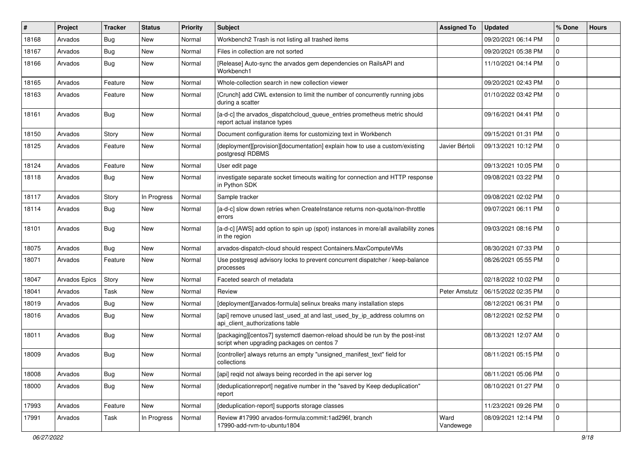| #     | Project       | <b>Tracker</b> | <b>Status</b> | <b>Priority</b> | Subject                                                                                                                   | <b>Assigned To</b> | <b>Updated</b>      | % Done       | <b>Hours</b> |
|-------|---------------|----------------|---------------|-----------------|---------------------------------------------------------------------------------------------------------------------------|--------------------|---------------------|--------------|--------------|
| 18168 | Arvados       | Bug            | New           | Normal          | Workbench2 Trash is not listing all trashed items                                                                         |                    | 09/20/2021 06:14 PM | 0            |              |
| 18167 | Arvados       | Bug            | <b>New</b>    | Normal          | Files in collection are not sorted                                                                                        |                    | 09/20/2021 05:38 PM | 0            |              |
| 18166 | Arvados       | Bug            | <b>New</b>    | Normal          | [Release] Auto-sync the arvados gem dependencies on RailsAPI and<br>Workbench1                                            |                    | 11/10/2021 04:14 PM | 0            |              |
| 18165 | Arvados       | Feature        | <b>New</b>    | Normal          | Whole-collection search in new collection viewer                                                                          |                    | 09/20/2021 02:43 PM | 0            |              |
| 18163 | Arvados       | Feature        | New           | Normal          | [Crunch] add CWL extension to limit the number of concurrently running jobs<br>during a scatter                           |                    | 01/10/2022 03:42 PM | 0            |              |
| 18161 | Arvados       | Bug            | New           | Normal          | [a-d-c] the arvados_dispatchcloud_queue_entries prometheus metric should<br>report actual instance types                  |                    | 09/16/2021 04:41 PM | 0            |              |
| 18150 | Arvados       | Story          | New           | Normal          | Document configuration items for customizing text in Workbench                                                            |                    | 09/15/2021 01:31 PM | 0            |              |
| 18125 | Arvados       | Feature        | New           | Normal          | [deployment][provision][documentation] explain how to use a custom/existing<br>postgresql RDBMS                           | Javier Bértoli     | 09/13/2021 10:12 PM | 0            |              |
| 18124 | Arvados       | Feature        | <b>New</b>    | Normal          | User edit page                                                                                                            |                    | 09/13/2021 10:05 PM | 0            |              |
| 18118 | Arvados       | Bug            | <b>New</b>    | Normal          | investigate separate socket timeouts waiting for connection and HTTP response<br>in Python SDK                            |                    | 09/08/2021 03:22 PM | 0            |              |
| 18117 | Arvados       | Story          | In Progress   | Normal          | Sample tracker                                                                                                            |                    | 09/08/2021 02:02 PM | 0            |              |
| 18114 | Arvados       | Bug            | New           | Normal          | [a-d-c] slow down retries when CreateInstance returns non-quota/non-throttle<br>errors                                    |                    | 09/07/2021 06:11 PM | 0            |              |
| 18101 | Arvados       | Bug            | <b>New</b>    | Normal          | [a-d-c] [AWS] add option to spin up (spot) instances in more/all availability zones<br>in the region                      |                    | 09/03/2021 08:16 PM | 0            |              |
| 18075 | Arvados       | Bug            | <b>New</b>    | Normal          | arvados-dispatch-cloud should respect Containers.MaxComputeVMs                                                            |                    | 08/30/2021 07:33 PM | 0            |              |
| 18071 | Arvados       | Feature        | New           | Normal          | Use postgresql advisory locks to prevent concurrent dispatcher / keep-balance<br>processes                                |                    | 08/26/2021 05:55 PM | 0            |              |
| 18047 | Arvados Epics | Story          | <b>New</b>    | Normal          | Faceted search of metadata                                                                                                |                    | 02/18/2022 10:02 PM | 0            |              |
| 18041 | Arvados       | Task           | New           | Normal          | Review                                                                                                                    | Peter Amstutz      | 06/15/2022 02:35 PM | 0            |              |
| 18019 | Arvados       | Bug            | <b>New</b>    | Normal          | [deployment][arvados-formula] selinux breaks many installation steps                                                      |                    | 08/12/2021 06:31 PM | 0            |              |
| 18016 | Arvados       | Bug            | New           | Normal          | [api] remove unused last_used_at and last_used_by_ip_address columns on<br>api client authorizations table                |                    | 08/12/2021 02:52 PM | 0            |              |
| 18011 | Arvados       | Bug            | <b>New</b>    | Normal          | [packaging][centos7] systemctl daemon-reload should be run by the post-inst<br>script when upgrading packages on centos 7 |                    | 08/13/2021 12:07 AM | 0            |              |
| 18009 | Arvados       | Bug            | New           | Normal          | [controller] always returns an empty "unsigned_manifest_text" field for<br>collections                                    |                    | 08/11/2021 05:15 PM | 0            |              |
| 18008 | Arvados       | Bug            | New           | Normal          | [api] regid not always being recorded in the api server log                                                               |                    | 08/11/2021 05:06 PM | $\mathbf{0}$ |              |
| 18000 | Arvados       | Bug            | New           | Normal          | [deduplicationreport] negative number in the "saved by Keep deduplication"<br>report                                      |                    | 08/10/2021 01:27 PM | $\mathbf{0}$ |              |
| 17993 | Arvados       | Feature        | New           | Normal          | [deduplication-report] supports storage classes                                                                           |                    | 11/23/2021 09:26 PM | $\mathbf{0}$ |              |
| 17991 | Arvados       | Task           | In Progress   | Normal          | Review #17990 arvados-formula:commit:1ad296f, branch<br>17990-add-rvm-to-ubuntu1804                                       | Ward<br>Vandewege  | 08/09/2021 12:14 PM | $\mathbf{0}$ |              |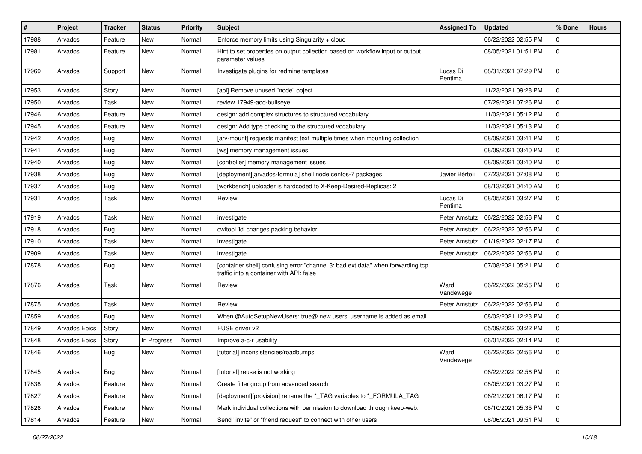| #     | Project              | <b>Tracker</b> | <b>Status</b> | <b>Priority</b> | <b>Subject</b>                                                                                                              | <b>Assigned To</b>  | <b>Updated</b>      | % Done      | <b>Hours</b> |
|-------|----------------------|----------------|---------------|-----------------|-----------------------------------------------------------------------------------------------------------------------------|---------------------|---------------------|-------------|--------------|
| 17988 | Arvados              | Feature        | New           | Normal          | Enforce memory limits using Singularity + cloud                                                                             |                     | 06/22/2022 02:55 PM | $\Omega$    |              |
| 17981 | Arvados              | Feature        | <b>New</b>    | Normal          | Hint to set properties on output collection based on workflow input or output<br>parameter values                           |                     | 08/05/2021 01:51 PM | $\mathbf 0$ |              |
| 17969 | Arvados              | Support        | <b>New</b>    | Normal          | Investigate plugins for redmine templates                                                                                   | Lucas Di<br>Pentima | 08/31/2021 07:29 PM | $\Omega$    |              |
| 17953 | Arvados              | Story          | <b>New</b>    | Normal          | [api] Remove unused "node" object                                                                                           |                     | 11/23/2021 09:28 PM | $\Omega$    |              |
| 17950 | Arvados              | Task           | <b>New</b>    | Normal          | review 17949-add-bullseye                                                                                                   |                     | 07/29/2021 07:26 PM | $\mathbf 0$ |              |
| 17946 | Arvados              | Feature        | New           | Normal          | design: add complex structures to structured vocabulary                                                                     |                     | 11/02/2021 05:12 PM | 0           |              |
| 17945 | Arvados              | Feature        | New           | Normal          | design: Add type checking to the structured vocabulary                                                                      |                     | 11/02/2021 05:13 PM | 0           |              |
| 17942 | Arvados              | <b>Bug</b>     | <b>New</b>    | Normal          | [arv-mount] requests manifest text multiple times when mounting collection                                                  |                     | 08/09/2021 03:41 PM | 0           |              |
| 17941 | Arvados              | <b>Bug</b>     | <b>New</b>    | Normal          | [ws] memory management issues                                                                                               |                     | 08/09/2021 03:40 PM | $\mathbf 0$ |              |
| 17940 | Arvados              | <b>Bug</b>     | <b>New</b>    | Normal          | [controller] memory management issues                                                                                       |                     | 08/09/2021 03:40 PM | $\Omega$    |              |
| 17938 | Arvados              | Bug            | <b>New</b>    | Normal          | [deployment][arvados-formula] shell node centos-7 packages                                                                  | Javier Bértoli      | 07/23/2021 07:08 PM | $\Omega$    |              |
| 17937 | Arvados              | <b>Bug</b>     | <b>New</b>    | Normal          | [workbench] uploader is hardcoded to X-Keep-Desired-Replicas: 2                                                             |                     | 08/13/2021 04:40 AM | 0           |              |
| 17931 | Arvados              | Task           | <b>New</b>    | Normal          | Review                                                                                                                      | Lucas Di<br>Pentima | 08/05/2021 03:27 PM | $\Omega$    |              |
| 17919 | Arvados              | Task           | <b>New</b>    | Normal          | investigate                                                                                                                 | Peter Amstutz       | 06/22/2022 02:56 PM | 0           |              |
| 17918 | Arvados              | <b>Bug</b>     | <b>New</b>    | Normal          | cwltool 'id' changes packing behavior                                                                                       | Peter Amstutz       | 06/22/2022 02:56 PM | $\mathbf 0$ |              |
| 17910 | Arvados              | Task           | New           | Normal          | investigate                                                                                                                 | Peter Amstutz       | 01/19/2022 02:17 PM | $\mathbf 0$ |              |
| 17909 | Arvados              | Task           | New           | Normal          | investigate                                                                                                                 | Peter Amstutz       | 06/22/2022 02:56 PM | 0           |              |
| 17878 | Arvados              | Bug            | <b>New</b>    | Normal          | [container shell] confusing error "channel 3: bad ext data" when forwarding tcp<br>traffic into a container with API: false |                     | 07/08/2021 05:21 PM | $\Omega$    |              |
| 17876 | Arvados              | Task           | <b>New</b>    | Normal          | Review                                                                                                                      | Ward<br>Vandewege   | 06/22/2022 02:56 PM | $\mathbf 0$ |              |
| 17875 | Arvados              | Task           | <b>New</b>    | Normal          | Review                                                                                                                      | Peter Amstutz       | 06/22/2022 02:56 PM | $\Omega$    |              |
| 17859 | Arvados              | Bug            | <b>New</b>    | Normal          | When @AutoSetupNewUsers: true@ new users' username is added as email                                                        |                     | 08/02/2021 12:23 PM | 0           |              |
| 17849 | Arvados Epics        | Story          | <b>New</b>    | Normal          | FUSE driver v2                                                                                                              |                     | 05/09/2022 03:22 PM | $\mathbf 0$ |              |
| 17848 | <b>Arvados Epics</b> | Story          | In Progress   | Normal          | Improve a-c-r usability                                                                                                     |                     | 06/01/2022 02:14 PM | $\mathbf 0$ |              |
| 17846 | Arvados              | Bug            | <b>New</b>    | Normal          | [tutorial] inconsistencies/roadbumps                                                                                        | Ward<br>Vandewege   | 06/22/2022 02:56 PM | 0           |              |
| 17845 | Arvados              | Bug            | New           | Normal          | [tutorial] reuse is not working                                                                                             |                     | 06/22/2022 02:56 PM | $\mathbf 0$ |              |
| 17838 | Arvados              | Feature        | New           | Normal          | Create filter group from advanced search                                                                                    |                     | 08/05/2021 03:27 PM | 0           |              |
| 17827 | Arvados              | Feature        | New           | Normal          | [deployment][provision] rename the *_TAG variables to *_FORMULA_TAG                                                         |                     | 06/21/2021 06:17 PM | 0           |              |
| 17826 | Arvados              | Feature        | New           | Normal          | Mark individual collections with permission to download through keep-web.                                                   |                     | 08/10/2021 05:35 PM | 0           |              |
| 17814 | Arvados              | Feature        | New           | Normal          | Send "invite" or "friend request" to connect with other users                                                               |                     | 08/06/2021 09:51 PM | 0           |              |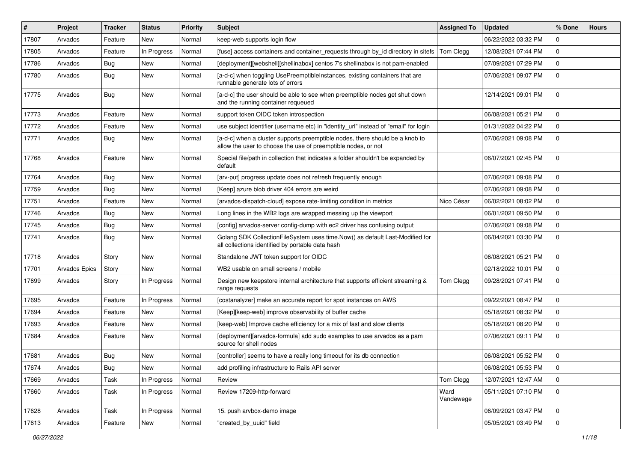| #     | Project       | <b>Tracker</b> | <b>Status</b> | Priority | Subject                                                                                                                                       | <b>Assigned To</b> | <b>Updated</b>      | % Done       | <b>Hours</b> |
|-------|---------------|----------------|---------------|----------|-----------------------------------------------------------------------------------------------------------------------------------------------|--------------------|---------------------|--------------|--------------|
| 17807 | Arvados       | Feature        | New           | Normal   | keep-web supports login flow                                                                                                                  |                    | 06/22/2022 03:32 PM | 0            |              |
| 17805 | Arvados       | Feature        | In Progress   | Normal   | [fuse] access containers and container_requests through by_id directory in sitefs                                                             | Tom Clegg          | 12/08/2021 07:44 PM | $\mathbf 0$  |              |
| 17786 | Arvados       | Bug            | New           | Normal   | [deployment][webshell][shellinabox] centos 7's shellinabox is not pam-enabled                                                                 |                    | 07/09/2021 07:29 PM | $\mathbf 0$  |              |
| 17780 | Arvados       | Bug            | New           | Normal   | [a-d-c] when toggling UsePreemptibleInstances, existing containers that are<br>runnable generate lots of errors                               |                    | 07/06/2021 09:07 PM | $\Omega$     |              |
| 17775 | Arvados       | Bug            | New           | Normal   | [a-d-c] the user should be able to see when preemptible nodes get shut down<br>and the running container requeued                             |                    | 12/14/2021 09:01 PM | $\Omega$     |              |
| 17773 | Arvados       | Feature        | New           | Normal   | support token OIDC token introspection                                                                                                        |                    | 06/08/2021 05:21 PM | $\mathbf 0$  |              |
| 17772 | Arvados       | Feature        | New           | Normal   | use subject identifier (username etc) in "identity_url" instead of "email" for login                                                          |                    | 01/31/2022 04:22 PM | $\Omega$     |              |
| 17771 | Arvados       | Bug            | New           | Normal   | [a-d-c] when a cluster supports preemptible nodes, there should be a knob to<br>allow the user to choose the use of preemptible nodes, or not |                    | 07/06/2021 09:08 PM | $\Omega$     |              |
| 17768 | Arvados       | Feature        | New           | Normal   | Special file/path in collection that indicates a folder shouldn't be expanded by<br>default                                                   |                    | 06/07/2021 02:45 PM | $\Omega$     |              |
| 17764 | Arvados       | Bug            | <b>New</b>    | Normal   | [arv-put] progress update does not refresh frequently enough                                                                                  |                    | 07/06/2021 09:08 PM | $\mathbf 0$  |              |
| 17759 | Arvados       | Bug            | New           | Normal   | [Keep] azure blob driver 404 errors are weird                                                                                                 |                    | 07/06/2021 09:08 PM | 0            |              |
| 17751 | Arvados       | Feature        | New           | Normal   | [arvados-dispatch-cloud] expose rate-limiting condition in metrics                                                                            | Nico César         | 06/02/2021 08:02 PM | $\mathbf 0$  |              |
| 17746 | Arvados       | Bug            | New           | Normal   | Long lines in the WB2 logs are wrapped messing up the viewport                                                                                |                    | 06/01/2021 09:50 PM | $\Omega$     |              |
| 17745 | Arvados       | Bug            | New           | Normal   | [config] arvados-server config-dump with ec2 driver has confusing output                                                                      |                    | 07/06/2021 09:08 PM | $\Omega$     |              |
| 17741 | Arvados       | Bug            | New           | Normal   | Golang SDK CollectionFileSystem uses time.Now() as default Last-Modified for<br>all collections identified by portable data hash              |                    | 06/04/2021 03:30 PM | $\Omega$     |              |
| 17718 | Arvados       | Story          | <b>New</b>    | Normal   | Standalone JWT token support for OIDC                                                                                                         |                    | 06/08/2021 05:21 PM | 0            |              |
| 17701 | Arvados Epics | Story          | New           | Normal   | WB2 usable on small screens / mobile                                                                                                          |                    | 02/18/2022 10:01 PM | 0            |              |
| 17699 | Arvados       | Story          | In Progress   | Normal   | Design new keepstore internal architecture that supports efficient streaming &<br>range requests                                              | Tom Clegg          | 09/28/2021 07:41 PM | $\Omega$     |              |
| 17695 | Arvados       | Feature        | In Progress   | Normal   | [costanalyzer] make an accurate report for spot instances on AWS                                                                              |                    | 09/22/2021 08:47 PM | $\Omega$     |              |
| 17694 | Arvados       | Feature        | New           | Normal   | [Keep][keep-web] improve observability of buffer cache                                                                                        |                    | 05/18/2021 08:32 PM | $\Omega$     |              |
| 17693 | Arvados       | Feature        | New           | Normal   | [keep-web] Improve cache efficiency for a mix of fast and slow clients                                                                        |                    | 05/18/2021 08:20 PM | $\mathbf 0$  |              |
| 17684 | Arvados       | Feature        | New           | Normal   | [deployment][arvados-formula] add sudo examples to use arvados as a pam<br>source for shell nodes                                             |                    | 07/06/2021 09:11 PM | $\Omega$     |              |
| 17681 | Arvados       | Bug            | New           | Normal   | [controller] seems to have a really long timeout for its db connection                                                                        |                    | 06/08/2021 05:52 PM | $\Omega$     |              |
| 17674 | Arvados       | <b>Bug</b>     | New           | Normal   | add profiling infrastructure to Rails API server                                                                                              |                    | 06/08/2021 05:53 PM | l 0          |              |
| 17669 | Arvados       | Task           | In Progress   | Normal   | Review                                                                                                                                        | Tom Clegg          | 12/07/2021 12:47 AM | $\mathbf{0}$ |              |
| 17660 | Arvados       | Task           | In Progress   | Normal   | Review 17209-http-forward                                                                                                                     | Ward<br>Vandewege  | 05/11/2021 07:10 PM | $\mathbf 0$  |              |
| 17628 | Arvados       | Task           | In Progress   | Normal   | 15. push arvbox-demo image                                                                                                                    |                    | 06/09/2021 03:47 PM | $\mathbf 0$  |              |
| 17613 | Arvados       | Feature        | New           | Normal   | "created by uuid" field                                                                                                                       |                    | 05/05/2021 03:49 PM | $\mathbf 0$  |              |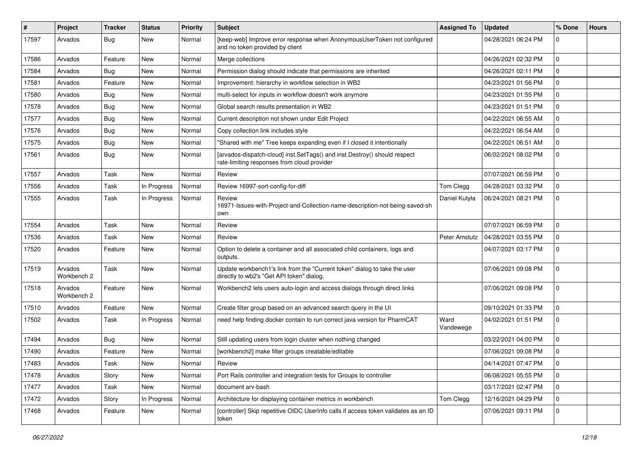| #     | Project                | <b>Tracker</b> | <b>Status</b> | <b>Priority</b> | <b>Subject</b>                                                                                                           | <b>Assigned To</b> | <b>Updated</b>      | % Done       | <b>Hours</b> |
|-------|------------------------|----------------|---------------|-----------------|--------------------------------------------------------------------------------------------------------------------------|--------------------|---------------------|--------------|--------------|
| 17597 | Arvados                | Bug            | New           | Normal          | [keep-web] Improve error response when AnonymousUserToken not configured<br>and no token provided by client              |                    | 04/28/2021 06:24 PM | $\Omega$     |              |
| 17586 | Arvados                | Feature        | New           | Normal          | Merge collections                                                                                                        |                    | 04/26/2021 02:32 PM | 0            |              |
| 17584 | Arvados                | <b>Bug</b>     | New           | Normal          | Permission dialog should indicate that permissions are inherited                                                         |                    | 04/26/2021 02:11 PM | 0            |              |
| 17581 | Arvados                | Feature        | New           | Normal          | Improvement: hierarchy in workflow selection in WB2                                                                      |                    | 04/23/2021 01:56 PM | 0            |              |
| 17580 | Arvados                | Bug            | New           | Normal          | multi-select for inputs in workflow doesn't work anymore                                                                 |                    | 04/23/2021 01:55 PM | 0            |              |
| 17578 | Arvados                | <b>Bug</b>     | <b>New</b>    | Normal          | Global search results presentation in WB2                                                                                |                    | 04/23/2021 01:51 PM | 0            |              |
| 17577 | Arvados                | <b>Bug</b>     | New           | Normal          | Current description not shown under Edit Project                                                                         |                    | 04/22/2021 06:55 AM | $\Omega$     |              |
| 17576 | Arvados                | Bug            | New           | Normal          | Copy collection link includes style                                                                                      |                    | 04/22/2021 06:54 AM | 0            |              |
| 17575 | Arvados                | <b>Bug</b>     | <b>New</b>    | Normal          | "Shared with me" Tree keeps expanding even if I closed it intentionally                                                  |                    | 04/22/2021 06:51 AM | 0            |              |
| 17561 | Arvados                | <b>Bug</b>     | New           | Normal          | [arvados-dispatch-cloud] inst.SetTags() and inst.Destroy() should respect<br>rate-limiting responses from cloud provider |                    | 06/02/2021 08:02 PM | 0            |              |
| 17557 | Arvados                | Task           | New           | Normal          | Review                                                                                                                   |                    | 07/07/2021 06:59 PM | 0            |              |
| 17556 | Arvados                | Task           | In Progress   | Normal          | Review 16997-sort-config-for-diff                                                                                        | Tom Clegg          | 04/28/2021 03:32 PM | 0            |              |
| 17555 | Arvados                | Task           | In Progress   | Normal          | Review<br>16971-Issues-with-Project-and-Collection-name-description-not-being-saved-sh<br>own                            | Daniel Kutyła      | 06/24/2021 08:21 PM | 0            |              |
| 17554 | Arvados                | Task           | <b>New</b>    | Normal          | Review                                                                                                                   |                    | 07/07/2021 06:59 PM | 0            |              |
| 17536 | Arvados                | Task           | <b>New</b>    | Normal          | Review                                                                                                                   | Peter Amstutz      | 04/28/2021 03:55 PM | 0            |              |
| 17520 | Arvados                | Feature        | New           | Normal          | Option to delete a container and all associated child containers, logs and<br>outputs.                                   |                    | 04/07/2021 03:17 PM | 0            |              |
| 17519 | Arvados<br>Workbench 2 | Task           | <b>New</b>    | Normal          | Update workbench1's link from the "Current token" dialog to take the user<br>directly to wb2's "Get API token" dialog.   |                    | 07/06/2021 09:08 PM | 0            |              |
| 17518 | Arvados<br>Workbench 2 | Feature        | <b>New</b>    | Normal          | Workbench2 lets users auto-login and access dialogs through direct links                                                 |                    | 07/06/2021 09:08 PM | $\Omega$     |              |
| 17510 | Arvados                | Feature        | <b>New</b>    | Normal          | Create filter group based on an advanced search query in the UI                                                          |                    | 09/10/2021 01:33 PM | 0            |              |
| 17502 | Arvados                | Task           | In Progress   | Normal          | need help finding docker contain to run correct java version for PharmCAT                                                | Ward<br>Vandewege  | 04/02/2021 01:51 PM | $\Omega$     |              |
| 17494 | Arvados                | Bug            | New           | Normal          | Still updating users from login cluster when nothing changed                                                             |                    | 03/22/2021 04:00 PM | 0            |              |
| 17490 | Arvados                | Feature        | New           | Normal          | [workbench2] make filter groups creatable/editable                                                                       |                    | 07/06/2021 09:08 PM | 0            |              |
| 17483 | Arvados                | Task           | New           | Normal          | Review                                                                                                                   |                    | 04/14/2021 07:47 PM | 0            |              |
| 17478 | Arvados                | Story          | New           | Normal          | Port Rails controller and integration tests for Groups to controller                                                     |                    | 06/08/2021 05:55 PM | 0            |              |
| 17477 | Arvados                | Task           | New           | Normal          | document arv-bash                                                                                                        |                    | 03/17/2021 02:47 PM | $\mathbf 0$  |              |
| 17472 | Arvados                | Story          | In Progress   | Normal          | Architecture for displaying container metrics in workbench                                                               | Tom Clegg          | 12/16/2021 04:29 PM | $\mathbf{0}$ |              |
| 17468 | Arvados                | Feature        | New           | Normal          | [controller] Skip repetitive OIDC UserInfo calls if access token validates as an ID<br>token                             |                    | 07/06/2021 09:11 PM | 0            |              |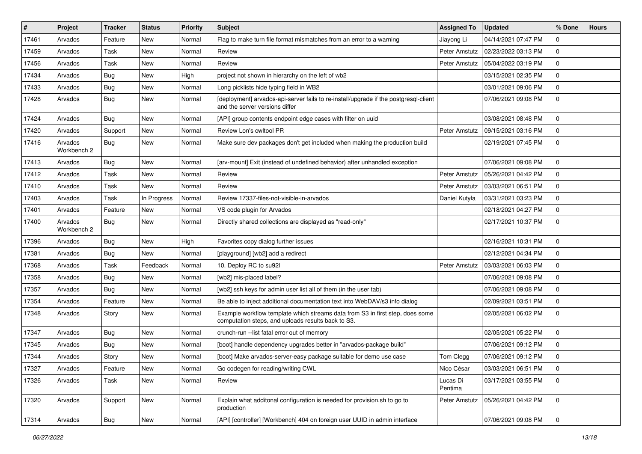| #     | <b>Project</b>         | <b>Tracker</b> | <b>Status</b> | Priority | <b>Subject</b>                                                                                                                      | <b>Assigned To</b>  | <b>Updated</b>      | % Done       | <b>Hours</b> |
|-------|------------------------|----------------|---------------|----------|-------------------------------------------------------------------------------------------------------------------------------------|---------------------|---------------------|--------------|--------------|
| 17461 | Arvados                | Feature        | New           | Normal   | Flag to make turn file format mismatches from an error to a warning                                                                 | Jiayong Li          | 04/14/2021 07:47 PM | 0            |              |
| 17459 | Arvados                | Task           | <b>New</b>    | Normal   | Review                                                                                                                              | Peter Amstutz       | 02/23/2022 03:13 PM | 0            |              |
| 17456 | Arvados                | Task           | New           | Normal   | Review                                                                                                                              | Peter Amstutz       | 05/04/2022 03:19 PM | $\mathbf{0}$ |              |
| 17434 | Arvados                | Bug            | <b>New</b>    | High     | project not shown in hierarchy on the left of wb2                                                                                   |                     | 03/15/2021 02:35 PM | 0            |              |
| 17433 | Arvados                | Bug            | <b>New</b>    | Normal   | Long picklists hide typing field in WB2                                                                                             |                     | 03/01/2021 09:06 PM | 0            |              |
| 17428 | Arvados                | Bug            | New           | Normal   | [deployment] arvados-api-server fails to re-install/upgrade if the postgresql-client<br>and the server versions differ              |                     | 07/06/2021 09:08 PM | 0            |              |
| 17424 | Arvados                | Bug            | <b>New</b>    | Normal   | [API] group contents endpoint edge cases with filter on uuid                                                                        |                     | 03/08/2021 08:48 PM | 0            |              |
| 17420 | Arvados                | Support        | <b>New</b>    | Normal   | Review Lon's cwltool PR                                                                                                             | Peter Amstutz       | 09/15/2021 03:16 PM | 0            |              |
| 17416 | Arvados<br>Workbench 2 | Bug            | New           | Normal   | Make sure dev packages don't get included when making the production build                                                          |                     | 02/19/2021 07:45 PM | 0            |              |
| 17413 | Arvados                | Bug            | <b>New</b>    | Normal   | [arv-mount] Exit (instead of undefined behavior) after unhandled exception                                                          |                     | 07/06/2021 09:08 PM | 0            |              |
| 17412 | Arvados                | Task           | <b>New</b>    | Normal   | Review                                                                                                                              | Peter Amstutz       | 05/26/2021 04:42 PM | 0            |              |
| 17410 | Arvados                | Task           | New           | Normal   | Review                                                                                                                              | Peter Amstutz       | 03/03/2021 06:51 PM | 0            |              |
| 17403 | Arvados                | Task           | In Progress   | Normal   | Review 17337-files-not-visible-in-arvados                                                                                           | Daniel Kutyła       | 03/31/2021 03:23 PM | 0            |              |
| 17401 | Arvados                | Feature        | New           | Normal   | VS code plugin for Arvados                                                                                                          |                     | 02/18/2021 04:27 PM | 0            |              |
| 17400 | Arvados<br>Workbench 2 | Bug            | New           | Normal   | Directly shared collections are displayed as "read-only"                                                                            |                     | 02/17/2021 10:37 PM | 0            |              |
| 17396 | Arvados                | Bug            | New           | High     | Favorites copy dialog further issues                                                                                                |                     | 02/16/2021 10:31 PM | $\mathbf{0}$ |              |
| 17381 | Arvados                | Bug            | New           | Normal   | [playground] [wb2] add a redirect                                                                                                   |                     | 02/12/2021 04:34 PM | 0            |              |
| 17368 | Arvados                | Task           | Feedback      | Normal   | 10. Deploy RC to su92l                                                                                                              | Peter Amstutz       | 03/03/2021 06:03 PM | 0            |              |
| 17358 | Arvados                | Bug            | New           | Normal   | [wb2] mis-placed label?                                                                                                             |                     | 07/06/2021 09:08 PM | 0            |              |
| 17357 | Arvados                | Bug            | <b>New</b>    | Normal   | [wb2] ssh keys for admin user list all of them (in the user tab)                                                                    |                     | 07/06/2021 09:08 PM | 0            |              |
| 17354 | Arvados                | Feature        | New           | Normal   | Be able to inject additional documentation text into WebDAV/s3 info dialog                                                          |                     | 02/09/2021 03:51 PM | $\mathbf{0}$ |              |
| 17348 | Arvados                | Story          | New           | Normal   | Example workflow template which streams data from S3 in first step, does some<br>computation steps, and uploads results back to S3. |                     | 02/05/2021 06:02 PM | 0            |              |
| 17347 | Arvados                | Bug            | New           | Normal   | crunch-run --list fatal error out of memory                                                                                         |                     | 02/05/2021 05:22 PM | 0            |              |
| 17345 | Arvados                | Bug            | New           | Normal   | [boot] handle dependency upgrades better in "arvados-package build"                                                                 |                     | 07/06/2021 09:12 PM | 0            |              |
| 17344 | Arvados                | Story          | New           | Normal   | [boot] Make arvados-server-easy package suitable for demo use case                                                                  | Tom Clegg           | 07/06/2021 09:12 PM | 0            |              |
| 17327 | Arvados                | Feature        | New           | Normal   | Go codegen for reading/writing CWL                                                                                                  | Nico César          | 03/03/2021 06:51 PM | 0            |              |
| 17326 | Arvados                | Task           | New           | Normal   | Review                                                                                                                              | Lucas Di<br>Pentima | 03/17/2021 03:55 PM | 0            |              |
| 17320 | Arvados                | Support        | New           | Normal   | Explain what additonal configuration is needed for provision.sh to go to<br>production                                              | Peter Amstutz       | 05/26/2021 04:42 PM | $\mathbf{0}$ |              |
| 17314 | Arvados                | <b>Bug</b>     | New           | Normal   | [API] [controller] [Workbench] 404 on foreign user UUID in admin interface                                                          |                     | 07/06/2021 09:08 PM | 0            |              |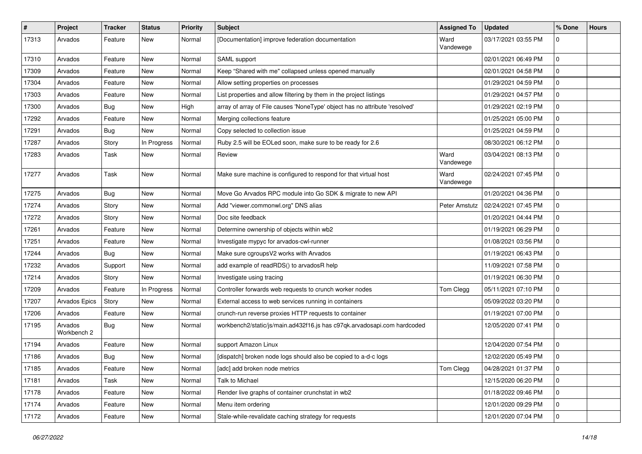| #     | Project                | <b>Tracker</b> | <b>Status</b> | <b>Priority</b> | <b>Subject</b>                                                              | <b>Assigned To</b> | <b>Updated</b>      | % Done       | <b>Hours</b> |
|-------|------------------------|----------------|---------------|-----------------|-----------------------------------------------------------------------------|--------------------|---------------------|--------------|--------------|
| 17313 | Arvados                | Feature        | New           | Normal          | [Documentation] improve federation documentation                            | Ward<br>Vandewege  | 03/17/2021 03:55 PM | 0            |              |
| 17310 | Arvados                | Feature        | New           | Normal          | SAML support                                                                |                    | 02/01/2021 06:49 PM | $\mathbf{0}$ |              |
| 17309 | Arvados                | Feature        | New           | Normal          | Keep "Shared with me" collapsed unless opened manually                      |                    | 02/01/2021 04:58 PM | 0            |              |
| 17304 | Arvados                | Feature        | <b>New</b>    | Normal          | Allow setting properties on processes                                       |                    | 01/29/2021 04:59 PM | 0            |              |
| 17303 | Arvados                | Feature        | New           | Normal          | List properties and allow filtering by them in the project listings         |                    | 01/29/2021 04:57 PM | 0            |              |
| 17300 | Arvados                | <b>Bug</b>     | <b>New</b>    | High            | array of array of File causes 'NoneType' object has no attribute 'resolved' |                    | 01/29/2021 02:19 PM | 0            |              |
| 17292 | Arvados                | Feature        | New           | Normal          | Merging collections feature                                                 |                    | 01/25/2021 05:00 PM | $\mathbf{0}$ |              |
| 17291 | Arvados                | <b>Bug</b>     | New           | Normal          | Copy selected to collection issue                                           |                    | 01/25/2021 04:59 PM | 0            |              |
| 17287 | Arvados                | Story          | In Progress   | Normal          | Ruby 2.5 will be EOLed soon, make sure to be ready for 2.6                  |                    | 08/30/2021 06:12 PM | 0            |              |
| 17283 | Arvados                | Task           | New           | Normal          | Review                                                                      | Ward<br>Vandewege  | 03/04/2021 08:13 PM | 0            |              |
| 17277 | Arvados                | Task           | New           | Normal          | Make sure machine is configured to respond for that virtual host            | Ward<br>Vandewege  | 02/24/2021 07:45 PM | 0            |              |
| 17275 | Arvados                | Bug            | <b>New</b>    | Normal          | Move Go Arvados RPC module into Go SDK & migrate to new API                 |                    | 01/20/2021 04:36 PM | 0            |              |
| 17274 | Arvados                | Story          | New           | Normal          | Add "viewer.commonwl.org" DNS alias                                         | Peter Amstutz      | 02/24/2021 07:45 PM | 0            |              |
| 17272 | Arvados                | Story          | New           | Normal          | Doc site feedback                                                           |                    | 01/20/2021 04:44 PM | 0            |              |
| 17261 | Arvados                | Feature        | <b>New</b>    | Normal          | Determine ownership of objects within wb2                                   |                    | 01/19/2021 06:29 PM | 0            |              |
| 17251 | Arvados                | Feature        | New           | Normal          | Investigate mypyc for arvados-cwl-runner                                    |                    | 01/08/2021 03:56 PM | 0            |              |
| 17244 | Arvados                | <b>Bug</b>     | New           | Normal          | Make sure cgroupsV2 works with Arvados                                      |                    | 01/19/2021 06:43 PM | 0            |              |
| 17232 | Arvados                | Support        | New           | Normal          | add example of readRDS() to arvadosR help                                   |                    | 11/09/2021 07:58 PM | 0            |              |
| 17214 | Arvados                | Story          | New           | Normal          | Investigate using tracing                                                   |                    | 01/19/2021 06:30 PM | 0            |              |
| 17209 | Arvados                | Feature        | In Progress   | Normal          | Controller forwards web requests to crunch worker nodes                     | Tom Clegg          | 05/11/2021 07:10 PM | 0            |              |
| 17207 | Arvados Epics          | Story          | New           | Normal          | External access to web services running in containers                       |                    | 05/09/2022 03:20 PM | $\mathbf 0$  |              |
| 17206 | Arvados                | Feature        | New           | Normal          | crunch-run reverse proxies HTTP requests to container                       |                    | 01/19/2021 07:00 PM | 0            |              |
| 17195 | Arvados<br>Workbench 2 | Bug            | New           | Normal          | workbench2/static/js/main.ad432f16.js has c97qk.arvadosapi.com hardcoded    |                    | 12/05/2020 07:41 PM | 0            |              |
| 17194 | Arvados                | Feature        | <b>New</b>    | Normal          | support Amazon Linux                                                        |                    | 12/04/2020 07:54 PM | 0            |              |
| 17186 | Arvados                | Bug            | New           | Normal          | [dispatch] broken node logs should also be copied to a-d-c logs             |                    | 12/02/2020 05:49 PM | 0            |              |
| 17185 | Arvados                | Feature        | New           | Normal          | [adc] add broken node metrics                                               | Tom Clegg          | 04/28/2021 01:37 PM | 0            |              |
| 17181 | Arvados                | Task           | New           | Normal          | Talk to Michael                                                             |                    | 12/15/2020 06:20 PM | 0            |              |
| 17178 | Arvados                | Feature        | New           | Normal          | Render live graphs of container crunchstat in wb2                           |                    | 01/18/2022 09:46 PM | $\mathbf 0$  |              |
| 17174 | Arvados                | Feature        | New           | Normal          | Menu item ordering                                                          |                    | 12/01/2020 09:29 PM | $\mathbf 0$  |              |
| 17172 | Arvados                | Feature        | New           | Normal          | Stale-while-revalidate caching strategy for requests                        |                    | 12/01/2020 07:04 PM | $\mathbf 0$  |              |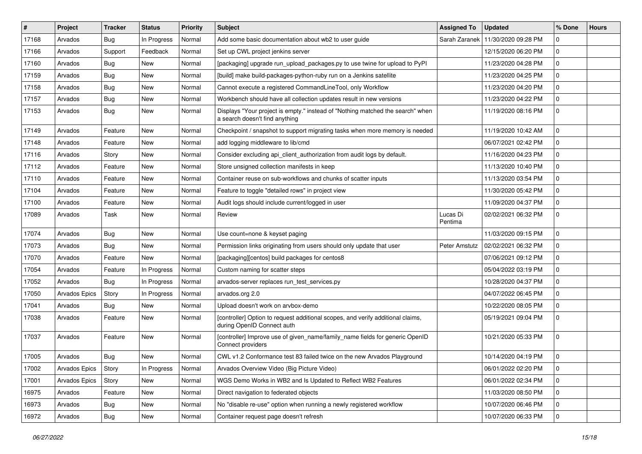| $\vert$ # | Project              | <b>Tracker</b> | <b>Status</b> | <b>Priority</b> | Subject                                                                                                          | <b>Assigned To</b>  | <b>Updated</b>      | % Done      | <b>Hours</b> |
|-----------|----------------------|----------------|---------------|-----------------|------------------------------------------------------------------------------------------------------------------|---------------------|---------------------|-------------|--------------|
| 17168     | Arvados              | Bug            | In Progress   | Normal          | Add some basic documentation about wb2 to user guide                                                             | Sarah Zaranek       | 11/30/2020 09:28 PM | 0           |              |
| 17166     | Arvados              | Support        | Feedback      | Normal          | Set up CWL project jenkins server                                                                                |                     | 12/15/2020 06:20 PM | 0           |              |
| 17160     | Arvados              | Bug            | <b>New</b>    | Normal          | [packaging] upgrade run_upload_packages.py to use twine for upload to PyPI                                       |                     | 11/23/2020 04:28 PM | 0           |              |
| 17159     | Arvados              | Bug            | <b>New</b>    | Normal          | [build] make build-packages-python-ruby run on a Jenkins satellite                                               |                     | 11/23/2020 04:25 PM | 0           |              |
| 17158     | Arvados              | Bug            | <b>New</b>    | Normal          | Cannot execute a registered CommandLineTool, only Workflow                                                       |                     | 11/23/2020 04:20 PM | 0           |              |
| 17157     | Arvados              | Bug            | New           | Normal          | Workbench should have all collection updates result in new versions                                              |                     | 11/23/2020 04:22 PM | 0           |              |
| 17153     | Arvados              | Bug            | New           | Normal          | Displays "Your project is empty." instead of "Nothing matched the search" when<br>a search doesn't find anything |                     | 11/19/2020 08:16 PM | 0           |              |
| 17149     | Arvados              | Feature        | New           | Normal          | Checkpoint / snapshot to support migrating tasks when more memory is needed                                      |                     | 11/19/2020 10:42 AM | 0           |              |
| 17148     | Arvados              | Feature        | <b>New</b>    | Normal          | add logging middleware to lib/cmd                                                                                |                     | 06/07/2021 02:42 PM | 0           |              |
| 17116     | Arvados              | Story          | New           | Normal          | Consider excluding api_client_authorization from audit logs by default.                                          |                     | 11/16/2020 04:23 PM | 0           |              |
| 17112     | Arvados              | Feature        | New           | Normal          | Store unsigned collection manifests in keep                                                                      |                     | 11/13/2020 10:40 PM | 0           |              |
| 17110     | Arvados              | Feature        | <b>New</b>    | Normal          | Container reuse on sub-workflows and chunks of scatter inputs                                                    |                     | 11/13/2020 03:54 PM | 0           |              |
| 17104     | Arvados              | Feature        | New           | Normal          | Feature to toggle "detailed rows" in project view                                                                |                     | 11/30/2020 05:42 PM | 0           |              |
| 17100     | Arvados              | Feature        | New           | Normal          | Audit logs should include current/logged in user                                                                 |                     | 11/09/2020 04:37 PM | 0           |              |
| 17089     | Arvados              | Task           | New           | Normal          | Review                                                                                                           | Lucas Di<br>Pentima | 02/02/2021 06:32 PM | 0           |              |
| 17074     | Arvados              | Bug            | <b>New</b>    | Normal          | Use count=none & keyset paging                                                                                   |                     | 11/03/2020 09:15 PM | 0           |              |
| 17073     | Arvados              | Bug            | New           | Normal          | Permission links originating from users should only update that user                                             | Peter Amstutz       | 02/02/2021 06:32 PM | 0           |              |
| 17070     | Arvados              | Feature        | New           | Normal          | [packaging][centos] build packages for centos8                                                                   |                     | 07/06/2021 09:12 PM | 0           |              |
| 17054     | Arvados              | Feature        | In Progress   | Normal          | Custom naming for scatter steps                                                                                  |                     | 05/04/2022 03:19 PM | 0           |              |
| 17052     | Arvados              | Bug            | In Progress   | Normal          | arvados-server replaces run_test_services.py                                                                     |                     | 10/28/2020 04:37 PM | 0           |              |
| 17050     | <b>Arvados Epics</b> | Story          | In Progress   | Normal          | arvados.org 2.0                                                                                                  |                     | 04/07/2022 06:45 PM | 0           |              |
| 17041     | Arvados              | Bug            | New           | Normal          | Upload doesn't work on arvbox-demo                                                                               |                     | 10/22/2020 08:05 PM | 0           |              |
| 17038     | Arvados              | Feature        | New           | Normal          | [controller] Option to request additional scopes, and verify additional claims,<br>during OpenID Connect auth    |                     | 05/19/2021 09:04 PM | 0           |              |
| 17037     | Arvados              | Feature        | <b>New</b>    | Normal          | [controller] Improve use of given_name/family_name fields for generic OpenID<br>Connect providers                |                     | 10/21/2020 05:33 PM | 0           |              |
| 17005     | Arvados              | Bug            | New           | Normal          | CWL v1.2 Conformance test 83 failed twice on the new Arvados Playground                                          |                     | 10/14/2020 04:19 PM | 0           |              |
| 17002     | Arvados Epics        | Story          | In Progress   | Normal          | Arvados Overview Video (Big Picture Video)                                                                       |                     | 06/01/2022 02:20 PM | 0           |              |
| 17001     | Arvados Epics        | Story          | New           | Normal          | WGS Demo Works in WB2 and Is Updated to Reflect WB2 Features                                                     |                     | 06/01/2022 02:34 PM | 0           |              |
| 16975     | Arvados              | Feature        | New           | Normal          | Direct navigation to federated objects                                                                           |                     | 11/03/2020 08:50 PM | $\mathbf 0$ |              |
| 16973     | Arvados              | Bug            | New           | Normal          | No "disable re-use" option when running a newly registered workflow                                              |                     | 10/07/2020 06:46 PM | 0           |              |
| 16972     | Arvados              | Bug            | New           | Normal          | Container request page doesn't refresh                                                                           |                     | 10/07/2020 06:33 PM | 0           |              |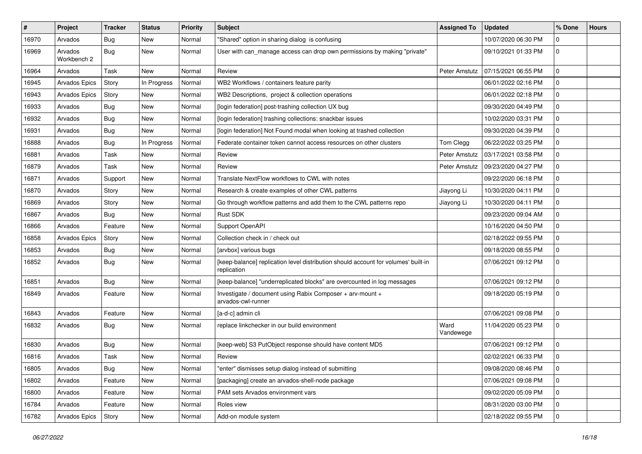| ∦     | Project                | <b>Tracker</b> | <b>Status</b> | <b>Priority</b> | <b>Subject</b>                                                                                    | <b>Assigned To</b> | <b>Updated</b>      | % Done      | <b>Hours</b> |
|-------|------------------------|----------------|---------------|-----------------|---------------------------------------------------------------------------------------------------|--------------------|---------------------|-------------|--------------|
| 16970 | Arvados                | Bug            | New           | Normal          | "Shared" option in sharing dialog is confusing                                                    |                    | 10/07/2020 06:30 PM | 0           |              |
| 16969 | Arvados<br>Workbench 2 | Bug            | <b>New</b>    | Normal          | User with can_manage access can drop own permissions by making "private"                          |                    | 09/10/2021 01:33 PM | 0           |              |
| 16964 | Arvados                | Task           | <b>New</b>    | Normal          | Review                                                                                            | Peter Amstutz      | 07/15/2021 06:55 PM | 0           |              |
| 16945 | Arvados Epics          | Story          | In Progress   | Normal          | WB2 Workflows / containers feature parity                                                         |                    | 06/01/2022 02:16 PM | 0           |              |
| 16943 | Arvados Epics          | Story          | <b>New</b>    | Normal          | WB2 Descriptions, project & collection operations                                                 |                    | 06/01/2022 02:18 PM | 0           |              |
| 16933 | Arvados                | Bug            | <b>New</b>    | Normal          | [login federation] post-trashing collection UX bug                                                |                    | 09/30/2020 04:49 PM | $\mathbf 0$ |              |
| 16932 | Arvados                | Bug            | New           | Normal          | [login federation] trashing collections: snackbar issues                                          |                    | 10/02/2020 03:31 PM | 0           |              |
| 16931 | Arvados                | Bug            | <b>New</b>    | Normal          | [login federation] Not Found modal when looking at trashed collection                             |                    | 09/30/2020 04:39 PM | 0           |              |
| 16888 | Arvados                | <b>Bug</b>     | In Progress   | Normal          | Federate container token cannot access resources on other clusters                                | Tom Clegg          | 06/22/2022 03:25 PM | 0           |              |
| 16881 | Arvados                | Task           | <b>New</b>    | Normal          | Review                                                                                            | Peter Amstutz      | 03/17/2021 03:58 PM | 0           |              |
| 16879 | Arvados                | Task           | <b>New</b>    | Normal          | Review                                                                                            | Peter Amstutz      | 09/23/2020 04:27 PM | 0           |              |
| 16871 | Arvados                | Support        | <b>New</b>    | Normal          | Translate NextFlow workflows to CWL with notes                                                    |                    | 09/22/2020 06:18 PM | 0           |              |
| 16870 | Arvados                | Story          | New           | Normal          | Research & create examples of other CWL patterns                                                  | Jiayong Li         | 10/30/2020 04:11 PM | 0           |              |
| 16869 | Arvados                | Story          | <b>New</b>    | Normal          | Go through workflow patterns and add them to the CWL patterns repo                                | Jiayong Li         | 10/30/2020 04:11 PM | 0           |              |
| 16867 | Arvados                | Bug            | New           | Normal          | <b>Rust SDK</b>                                                                                   |                    | 09/23/2020 09:04 AM | 0           |              |
| 16866 | Arvados                | Feature        | New           | Normal          | Support OpenAPI                                                                                   |                    | 10/16/2020 04:50 PM | 0           |              |
| 16858 | <b>Arvados Epics</b>   | Story          | <b>New</b>    | Normal          | Collection check in / check out                                                                   |                    | 02/18/2022 09:55 PM | 0           |              |
| 16853 | Arvados                | <b>Bug</b>     | New           | Normal          | [arvbox] various bugs                                                                             |                    | 09/18/2020 08:55 PM | 0           |              |
| 16852 | Arvados                | <b>Bug</b>     | New           | Normal          | [keep-balance] replication level distribution should account for volumes' built-in<br>replication |                    | 07/06/2021 09:12 PM | $\Omega$    |              |
| 16851 | Arvados                | Bug            | <b>New</b>    | Normal          | [keep-balance] "underreplicated blocks" are overcounted in log messages                           |                    | 07/06/2021 09:12 PM | 0           |              |
| 16849 | Arvados                | Feature        | New           | Normal          | Investigate / document using Rabix Composer + arv-mount +<br>arvados-cwl-runner                   |                    | 09/18/2020 05:19 PM | 0           |              |
| 16843 | Arvados                | Feature        | <b>New</b>    | Normal          | [a-d-c] admin cli                                                                                 |                    | 07/06/2021 09:08 PM | 0           |              |
| 16832 | Arvados                | Bug            | New           | Normal          | replace linkchecker in our build environment                                                      | Ward<br>Vandewege  | 11/04/2020 05:23 PM | 0           |              |
| 16830 | Arvados                | <b>Bug</b>     | New           | Normal          | [keep-web] S3 PutObject response should have content MD5                                          |                    | 07/06/2021 09:12 PM | 0           |              |
| 16816 | Arvados                | Task           | New           | Normal          | Review                                                                                            |                    | 02/02/2021 06:33 PM | 0           |              |
| 16805 | Arvados                | Bug            | New           | Normal          | "enter" dismisses setup dialog instead of submitting                                              |                    | 09/08/2020 08:46 PM | 0           |              |
| 16802 | Arvados                | Feature        | <b>New</b>    | Normal          | [packaging] create an arvados-shell-node package                                                  |                    | 07/06/2021 09:08 PM | 0           |              |
| 16800 | Arvados                | Feature        | New           | Normal          | PAM sets Arvados environment vars                                                                 |                    | 09/02/2020 05:09 PM | $\mathbf 0$ |              |
| 16784 | Arvados                | Feature        | New           | Normal          | Roles view                                                                                        |                    | 08/31/2020 03:00 PM | 0           |              |
| 16782 | Arvados Epics          | Story          | New           | Normal          | Add-on module system                                                                              |                    | 02/18/2022 09:55 PM | 0           |              |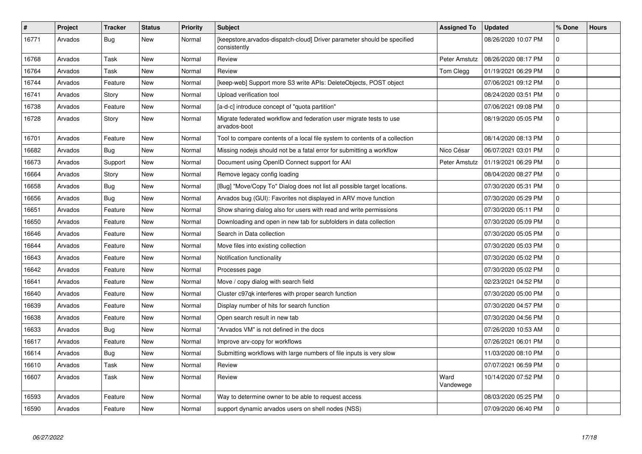| $\vert$ # | Project | <b>Tracker</b> | <b>Status</b> | Priority | <b>Subject</b>                                                                           | <b>Assigned To</b> | <b>Updated</b>      | % Done       | <b>Hours</b> |
|-----------|---------|----------------|---------------|----------|------------------------------------------------------------------------------------------|--------------------|---------------------|--------------|--------------|
| 16771     | Arvados | <b>Bug</b>     | New           | Normal   | [keepstore, arvados-dispatch-cloud] Driver parameter should be specified<br>consistently |                    | 08/26/2020 10:07 PM | $\Omega$     |              |
| 16768     | Arvados | Task           | New           | Normal   | Review                                                                                   | Peter Amstutz      | 08/26/2020 08:17 PM | $\Omega$     |              |
| 16764     | Arvados | Task           | New           | Normal   | Review                                                                                   | Tom Clegg          | 01/19/2021 06:29 PM | 0            |              |
| 16744     | Arvados | Feature        | <b>New</b>    | Normal   | [keep-web] Support more S3 write APIs: DeleteObjects, POST object                        |                    | 07/06/2021 09:12 PM | 0            |              |
| 16741     | Arvados | Story          | New           | Normal   | Upload verification tool                                                                 |                    | 08/24/2020 03:51 PM | $\Omega$     |              |
| 16738     | Arvados | Feature        | <b>New</b>    | Normal   | [a-d-c] introduce concept of "quota partition"                                           |                    | 07/06/2021 09:08 PM | $\mathbf 0$  |              |
| 16728     | Arvados | Story          | <b>New</b>    | Normal   | Migrate federated workflow and federation user migrate tests to use<br>arvados-boot      |                    | 08/19/2020 05:05 PM | $\Omega$     |              |
| 16701     | Arvados | Feature        | <b>New</b>    | Normal   | Tool to compare contents of a local file system to contents of a collection              |                    | 08/14/2020 08:13 PM | $\Omega$     |              |
| 16682     | Arvados | <b>Bug</b>     | New           | Normal   | Missing nodejs should not be a fatal error for submitting a workflow                     | Nico César         | 06/07/2021 03:01 PM | 0            |              |
| 16673     | Arvados | Support        | <b>New</b>    | Normal   | Document using OpenID Connect support for AAI                                            | Peter Amstutz      | 01/19/2021 06:29 PM | 0            |              |
| 16664     | Arvados | Story          | New           | Normal   | Remove legacy config loading                                                             |                    | 08/04/2020 08:27 PM | $\mathbf{0}$ |              |
| 16658     | Arvados | Bug            | <b>New</b>    | Normal   | [Bug] "Move/Copy To" Dialog does not list all possible target locations.                 |                    | 07/30/2020 05:31 PM | $\Omega$     |              |
| 16656     | Arvados | Bug            | New           | Normal   | Arvados bug (GUI): Favorites not displayed in ARV move function                          |                    | 07/30/2020 05:29 PM | $\mathbf{0}$ |              |
| 16651     | Arvados | Feature        | <b>New</b>    | Normal   | Show sharing dialog also for users with read and write permissions                       |                    | 07/30/2020 05:11 PM | $\Omega$     |              |
| 16650     | Arvados | Feature        | New           | Normal   | Downloading and open in new tab for subfolders in data collection                        |                    | 07/30/2020 05:09 PM | $\mathbf{0}$ |              |
| 16646     | Arvados | Feature        | New           | Normal   | Search in Data collection                                                                |                    | 07/30/2020 05:05 PM | $\Omega$     |              |
| 16644     | Arvados | Feature        | New           | Normal   | Move files into existing collection                                                      |                    | 07/30/2020 05:03 PM | 0            |              |
| 16643     | Arvados | Feature        | New           | Normal   | Notification functionality                                                               |                    | 07/30/2020 05:02 PM | 0            |              |
| 16642     | Arvados | Feature        | New           | Normal   | Processes page                                                                           |                    | 07/30/2020 05:02 PM | 0            |              |
| 16641     | Arvados | Feature        | New           | Normal   | Move / copy dialog with search field                                                     |                    | 02/23/2021 04:52 PM | 0            |              |
| 16640     | Arvados | Feature        | New           | Normal   | Cluster c97qk interferes with proper search function                                     |                    | 07/30/2020 05:00 PM | 0            |              |
| 16639     | Arvados | Feature        | New           | Normal   | Display number of hits for search function                                               |                    | 07/30/2020 04:57 PM | 0            |              |
| 16638     | Arvados | Feature        | <b>New</b>    | Normal   | Open search result in new tab                                                            |                    | 07/30/2020 04:56 PM | $\Omega$     |              |
| 16633     | Arvados | <b>Bug</b>     | New           | Normal   | "Arvados VM" is not defined in the docs                                                  |                    | 07/26/2020 10:53 AM | 0            |              |
| 16617     | Arvados | Feature        | <b>New</b>    | Normal   | Improve arv-copy for workflows                                                           |                    | 07/26/2021 06:01 PM | $\Omega$     |              |
| 16614     | Arvados | Bug            | New           | Normal   | Submitting workflows with large numbers of file inputs is very slow                      |                    | 11/03/2020 08:10 PM | $\mathbf{0}$ |              |
| 16610     | Arvados | Task           | <b>New</b>    | Normal   | Review                                                                                   |                    | 07/07/2021 06:59 PM | 0            |              |
| 16607     | Arvados | Task           | New           | Normal   | Review                                                                                   | Ward<br>Vandewege  | 10/14/2020 07:52 PM | $\Omega$     |              |
| 16593     | Arvados | Feature        | New           | Normal   | Way to determine owner to be able to request access                                      |                    | 08/03/2020 05:25 PM | 0            |              |
| 16590     | Arvados | Feature        | New           | Normal   | support dynamic arvados users on shell nodes (NSS)                                       |                    | 07/09/2020 06:40 PM | $\Omega$     |              |